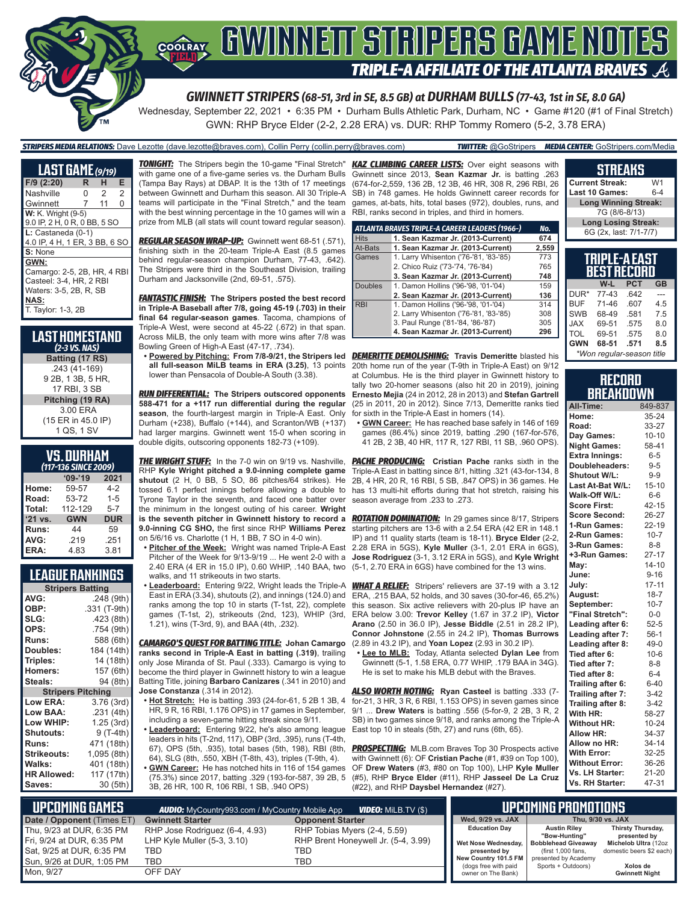# **COORAY GWINNEIT STRIPERS GAME NOTES TRIPLE-A AFFILIATE OF THE ATLANTA BRAVES**

*GWINNETT STRIPERS (68-51, 3rd in SE, 8.5 GB) at DURHAM BULLS (77-43, 1st in SE, 8.0 GA)*

Wednesday, September 22, 2021 • 6:35 PM • Durham Bulls Athletic Park, Durham, NC • Game #120 (#1 of Final Stretch) GWN: RHP Bryce Elder (2-2, 2.28 ERA) vs. DUR: RHP Tommy Romero (5-2, 3.78 ERA)

*STRIPERS MEDIA RELATIONS:* Dave Lezotte (dave.lezotte@braves.com), Collin Perry (collin.perry@braves.com) *TWITTER:* @GoStripers *MEDIA CENTER:* GoStripers.com/Media

| <b>LAST GAME</b> (9/19)       |   |                |                |
|-------------------------------|---|----------------|----------------|
| F/9 (2:20)                    | R | н              | Е              |
| Nashville                     | Ω | $\overline{2}$ | $\overline{2}$ |
| Gwinnett                      | 7 | 11             | 0              |
| <b>W:</b> K. Wright (9-5)     |   |                |                |
| 9.0 IP, 2 H, 0 R, 0 BB, 5 SO  |   |                |                |
| $L:$ Castaneda $(0-1)$        |   |                |                |
| 4.0 IP, 4 H, 1 ER, 3 BB, 6 SO |   |                |                |
| S: None                       |   |                |                |
| GWN:                          |   |                |                |
| Camargo: 2-5, 2B, HR, 4 RBI   |   |                |                |
| Casteel: 3-4, HR, 2 RBI       |   |                |                |
| Waters: 3-5, 2B, R, SB        |   |                |                |
| <b>NAS:</b>                   |   |                |                |
| T. Taylor: 1-3, 2B            |   |                |                |

| Last Homestand<br>$(2-3$ VS. NAS) |
|-----------------------------------|
| Batting (17 RS)                   |
| .243 (41-169)                     |
| 9 2B, 1 3B, 5 HR,                 |
| 17 RBI, 3 SB                      |
| Pitching (19 RA)                  |
| 3.00 ERA                          |
| (15 ER in 45.0 IP)                |
| 1 QS, 1 SV                        |

### **VS. DURHAM**

|         | (117-136 SINCE 2009) |            |
|---------|----------------------|------------|
|         | $09 - 19$            | 2021       |
| Home:   | 59-57                | $4-2$      |
| Road:   | 53-72                | $1 - 5$    |
| Total:  | 112-129              | $5 - 7$    |
| '21 vs. | <b>GWN</b>           | <b>DUR</b> |
| Runs:   | 44                   | 59         |
| AVG:    | .219                 | .251       |
| ERA:    | 4.83                 | 3.81       |

### **LEAGUE RANKINGS**

| <b>Stripers Batting</b>  |              |
|--------------------------|--------------|
| AVG:                     | .248 (9th)   |
| OBP:                     | .331 (T-9th) |
| SLG:                     | .423 (8th)   |
| OPS:                     | .754 (9th)   |
| <b>Runs:</b>             | 588 (6th)    |
| Doubles:                 | 184 (14th)   |
| Triples:                 | 14 (18th)    |
| <b>Homers:</b>           | 157 (6th)    |
| Steals:                  | 94 (8th)     |
| <b>Stripers Pitching</b> |              |
| <b>Low ERA:</b>          | 3.76 (3rd)   |
| Low BAA:                 | .231 (4th)   |
| Low WHIP:                | 1.25 (3rd)   |
| Shutouts:                | 9 (T-4th)    |
| <b>Runs:</b>             | 471 (18th)   |
| Strikeouts:              | 1,095 (8th)  |
| Walks:                   | 401 (18th)   |
| <b>HR Allowed:</b>       | 117 (17th)   |
| Saves:                   | 30 (5th)     |

*TONIGHT:* The Stripers begin the 10-game "Final Stretch" *KAZ CLIMBING CAREER LISTS:* Over eight seasons with with game one of a five-game series vs. the Durham Bulls (Tampa Bay Rays) at DBAP. It is the 13th of 17 meetings between Gwinnett and Durham this season. All 30 Triple-A teams will participate in the "Final Stretch," and the team with the best winning percentage in the 10 games will win a prize from MLB (all stats will count toward regular season).

*REGULAR SEASON WRAP-UP:* Gwinnett went 68-51 (.571), finishing sixth in the 20-team Triple-A East (8.5 games behind regular-season champion Durham, 77-43, .642). The Stripers were third in the Southeast Division, trailing Durham and Jacksonville (2nd, 69-51, .575).

*FANTASTIC FINISH:* **The Stripers posted the best record in Triple-A Baseball after 7/8, going 45-19 (.703) in their final 64 regular-season games**. Tacoma, champions of Triple-A West, were second at 45-22 (.672) in that span. Across MiLB, the only team with more wins after 7/8 was Bowling Green of High-A East (47-17, .734).

lower than Pensacola of Double-A South (3.38).

*RUN DIFFERENTIAL:* **The Stripers outscored opponents 588-471 for a +117 run differential during the regular**  season, the fourth-largest margin in Triple-A East. Only Durham (+238), Buffalo (+144), and Scranton/WB (+137) had larger margins. Gwinnett went 15-0 when scoring in double digits, outscoring opponents 182-73 (+109).

**THE WRIGHT STUFF:** In the 7-0 win on 9/19 vs. Nashville, RHP **Kyle Wright pitched a 9.0-inning complete game shutout** (2 H, 0 BB, 5 SO, 86 pitches/64 strikes). He tossed 6.1 perfect innings before allowing a double to Tyrone Taylor in the seventh, and faced one batter over the minimum in the longest outing of his career. **Wright is the seventh pitcher in Gwinnett history to record a 9.0-inning CG SHO,** the first since RHP **Williams Perez**  on 5/6/16 vs. Charlotte (1 H, 1 BB, 7 SO in 4-0 win).

**• Pitcher of the Week:** Wright was named Triple-A East 2.40 ERA (4 ER in 15.0 IP), 0.60 WHIP, .140 BAA, two walks, and 11 strikeouts in two starts.

**• Leaderboard:** Entering 9/22, Wright leads the Triple-A East in ERA (3.34), shutouts (2), and innings (124.0) and ranks among the top 10 in starts (T-1st, 22), complete games (T-1st, 2), strikeouts (2nd, 123), WHIP (3rd, 1.21), wins (T-3rd, 9), and BAA (4th, .232).

*CAMARGO'S QUEST FOR BATTING TITLE:* **Johan Camargo ranks second in Triple-A East in batting (.319)**, trailing only Jose Miranda of St. Paul (.333). Camargo is vying to become the third player in Gwinnett history to win a league Batting Title, joining **Barbaro Canizares** (.341 in 2010) and **Jose Constanza** (.314 in 2012).

**• Hot Stretch:** He is batting .393 (24-for-61, 5 2B 1 3B, 4 HR, 9 R, 16 RBI, 1.176 OPS) in 17 games in September, including a seven-game hitting streak since 9/11.

**• Leaderboard:** Entering 9/22, he's also among league leaders in hits (T-2nd, 117), OBP (3rd, .395), runs (T-4th, 67), OPS (5th, .935), total bases (5th, 198), RBI (8th, 64), SLG (8th, .550, XBH (T-8th, 43), triples (T-9th, 4). **• GWN Career:** He has notched hits in 116 of 154 games

(75.3%) since 2017, batting .329 (193-for-587, 39 2B, 5 3B, 26 HR, 100 R, 106 RBI, 1 SB, .940 OPS)

Gwinnett since 2013, **Sean Kazmar Jr.** is batting .263 (674-for-2,559, 136 2B, 12 3B, 46 HR, 308 R, 296 RBI, 26 SB) in 748 games. He holds Gwinnett career records for games, at-bats, hits, total bases (972), doubles, runs, and RBI, ranks second in triples, and third in homers.

|                | ATLANTA BRAVES TRIPLE-A CAREER LEADERS (1966-) | No.   |
|----------------|------------------------------------------------|-------|
| <b>Hits</b>    | 1. Sean Kazmar Jr. (2013-Current)              | 674   |
| At-Bats        | 1. Sean Kazmar Jr. (2013-Current)              | 2,559 |
| Games          | 1. Larry Whisenton ('76-'81, '83-'85)          | 773   |
|                | 2. Chico Ruiz ('73-'74, '76-'84)               | 765   |
|                | 3. Sean Kazmar Jr. (2013-Current)              | 748   |
| <b>Doubles</b> | 1. Damon Hollins ('96-'98, '01-'04)            | 159   |
|                | 2. Sean Kazmar Jr. (2013-Current)              | 136   |
| <b>RBI</b>     | 1. Damon Hollins ('96-'98, '01-'04)            | 314   |
|                | 2. Larry Whisenton ('76-'81, '83-'85)          | 308   |
|                | 3. Paul Runge ('81-'84, '86-'87)               | 305   |
|                | 4. Sean Kazmar Jr. (2013-Current)              | 296   |

**• Powered by Pitching: From 7/8-9/21, the Stripers led**  *DEMERITTE DEMOLISHING:* **Travis Demeritte** blasted his **all full-season MiLB teams in ERA (3.25)**, 13 points 20th home run of the year (T-9th in Triple-A East) on 9/12 at Columbus. He is the third player in Gwinnett history to tally two 20-homer seasons (also hit 20 in 2019), joining **Ernesto Mejia** (24 in 2012, 28 in 2013) and **Stefan Gartrell** (25 in 2011, 20 in 2012). Since 7/13, Demeritte ranks tied for sixth in the Triple-A East in homers (14).

**• GWN Career:** He has reached base safely in 146 of 169 games (86.4%) since 2019, batting .290 (167-for-576, 41 2B, 2 3B, 40 HR, 117 R, 127 RBI, 11 SB, .960 OPS).

**PACHE PRODUCING:** Cristian Pache ranks sixth in the Triple-A East in batting since 8/1, hitting .321 (43-for-134, 8 2B, 4 HR, 20 R, 16 RBI, 5 SB, .847 OPS) in 36 games. He has 13 multi-hit efforts during that hot stretch, raising his season average from .233 to .273.

Pitcher of the Week for 9/13-9/19 ... He went 2-0 with a **Jose Rodriguez** (3-1, 3.12 ERA in 5GS), and **Kyle Wright** *ROTATION DOMINATION:* In 29 games since 8/17, Stripers starting pitchers are 13-6 with a 2.54 ERA (42 ER in 148.1 IP) and 11 quality starts (team is 18-11). **Bryce Elder** (2-2, 2.28 ERA in 5GS), **Kyle Muller** (3-1, 2.01 ERA in 6GS), (5-1, 2.70 ERA in 6GS) have combined for the 13 wins.

> **WHAT A RELIEF:** Stripers' relievers are 37-19 with a 3.12 ERA, .215 BAA, 52 holds, and 30 saves (30-for-46, 65.2%) this season. Six active relievers with 20-plus IP have an ERA below 3.00: **Trevor Kelley** (1.67 in 37.2 IP), **Victor Arano** (2.50 in 36.0 IP), **Jesse Biddle** (2.51 in 28.2 IP), **Connor Johnstone** (2.55 in 24.2 IP), **Thomas Burrows** (2.89 in 43.2 IP), and **Yoan Lopez** (2.93 in 30.2 IP).

**• Lee to MLB:** Today, Atlanta selected **Dylan Lee** from Gwinnett (5-1, 1.58 ERA, 0.77 WHIP, .179 BAA in 34G). He is set to make his MLB debut with the Braves.

*ALSO WORTH NOTING:* **Ryan Casteel** is batting .333 (7 for-21, 3 HR, 3 R, 6 RBI, 1.153 OPS) in seven games since 9/1 ... **Drew Waters** is batting .556 (5-for-9, 2 2B, 3 R, 2 SB) in two games since 9/18, and ranks among the Triple-A East top 10 in steals (5th, 27) and runs (6th, 65).

**PROSPECTING:** MLB.com Braves Top 30 Prospects active with Gwinnett (6): OF **Cristian Pache** (#1, #39 on Top 100), OF **Drew Waters** (#3, #80 on Top 100), LHP **Kyle Muller** (#5), RHP **Bryce Elder** (#11), RHP **Jasseel De La Cruz** (#22), and RHP **Daysbel Hernandez** (#27).

#### **TRIPLE-A EAST BEST RECORD W-L PCT GB**  $DUR*$  77-43 BUF 71-46 .607 4.5 **Long Winning Streak:** 7G (8/6-8/13) **Long Losing Streak:** 6G (2x, last: 7/1-7/7)

**STREAKS Current Streak:** W1 **Last 10 Games:** 

| *Won regular-season title |       |      |     |
|---------------------------|-------|------|-----|
| GWN                       | 68-51 | .571 | 8.5 |
| TOL                       | 69-51 | .575 | 8.0 |
| JAX                       | 69-51 | .575 | 8.0 |
| <b>SWB</b>                | 68-49 | .581 | 7.5 |
| BUF                       | 71-46 | .607 | 4.5 |

### **RECORD BREAKDOWN**

| All-Time:             | 849-837   |
|-----------------------|-----------|
| Home:                 | 35-24     |
| Road:                 | 33-27     |
| Day Games:            | $10 - 10$ |
| <b>Night Games:</b>   | 58-41     |
| <b>Extra Innings:</b> | $6 - 5$   |
| Doubleheaders:        | $9 - 5$   |
| <b>Shutout W/L:</b>   | $9 - 9$   |
| Last At-Bat W/L:      | $15 - 10$ |
| Walk-Off W/L:         | $6-6$     |
| <b>Score First:</b>   | $42 - 15$ |
| <b>Score Second:</b>  | 26-27     |
| 1-Run Games:          | 22-19     |
| 2-Run Games:          | $10 - 7$  |
| 3-Run Games:          | $8 - 8$   |
| +3-Run Games:         | $27 - 17$ |
| Mav:                  | $14 - 10$ |
| June:                 | $9 - 16$  |
| July:                 | $17 - 11$ |
| August:               | $18 - 7$  |
| September:            | $10 - 7$  |
| "Final Stretch":      | $0-0$     |
| Leading after 6:      | $52 - 5$  |
| Leading after 7:      | $56-1$    |
| Leading after 8:      | $49-0$    |
| Tied after 6:         | $10-6$    |
| Tied after 7:         | $8 - 8$   |
| Tied after 8:         | $6 - 4$   |
| Trailing after 6:     | $6 - 40$  |
| Trailing after 7:     | $3-42$    |
| Trailing after 8:     | $3-42$    |
| With HR:              | 58-27     |
| <b>Without HR:</b>    | $10 - 24$ |
| <b>Allow HR:</b>      | 34-37     |
| Allow no HR:          | 34-14     |
| <b>With Error:</b>    | 32-25     |
| <b>Without Error:</b> | 36-26     |
| Vs. LH Starter:       | $21 - 20$ |
| Vs. RH Starter:       | 47-31     |

| I UPCOMING GAMES "<br><b>AUDIO:</b> MyCountry993.com / MyCountry Mobile App<br><b>VIDEO:</b> Milb.TV (\$) |                                |                                     |                                            | UPCOMING PROMOTIONS                         |                                      |
|-----------------------------------------------------------------------------------------------------------|--------------------------------|-------------------------------------|--------------------------------------------|---------------------------------------------|--------------------------------------|
| Date / Opponent (Times ET)                                                                                | <b>Gwinnett Starter</b>        | <b>Opponent Starter</b>             | Wed. 9/29 vs. JAX                          |                                             | Thu. 9/30 vs. JAX                    |
| Thu, 9/23 at DUR, 6:35 PM                                                                                 | RHP Jose Rodriguez (6-4, 4.93) | RHP Tobias Myers (2-4, 5.59)        | <b>Education Day</b>                       | <b>Austin Rilev</b>                         | Thirsty Thursday,                    |
| Fri, 9/24 at DUR, 6:35 PM                                                                                 | LHP Kyle Muller $(5-3, 3.10)$  | RHP Brent Honeywell Jr. (5-4, 3.99) | Wet Nose Wednesday,                        | "Bow-Huntina"<br><b>Bobblehead Giveaway</b> | presented by<br>Michelob Ultra (12oz |
| Sat, 9/25 at DUR, 6:35 PM                                                                                 | TBD                            | TBD                                 | presented by                               | (first 1,000 fans,                          | domestic beers \$2 each)             |
| Sun, 9/26 at DUR, 1:05 PM                                                                                 | TBD                            | TBD                                 | New Country 101.5 FM                       | presented by Academy<br>Sports + Outdoors)  | Xolos de                             |
| Mon. 9/27                                                                                                 | OFF DAY                        |                                     | (dogs free with paid<br>owner on The Bank) |                                             | <b>Gwinnett Night</b>                |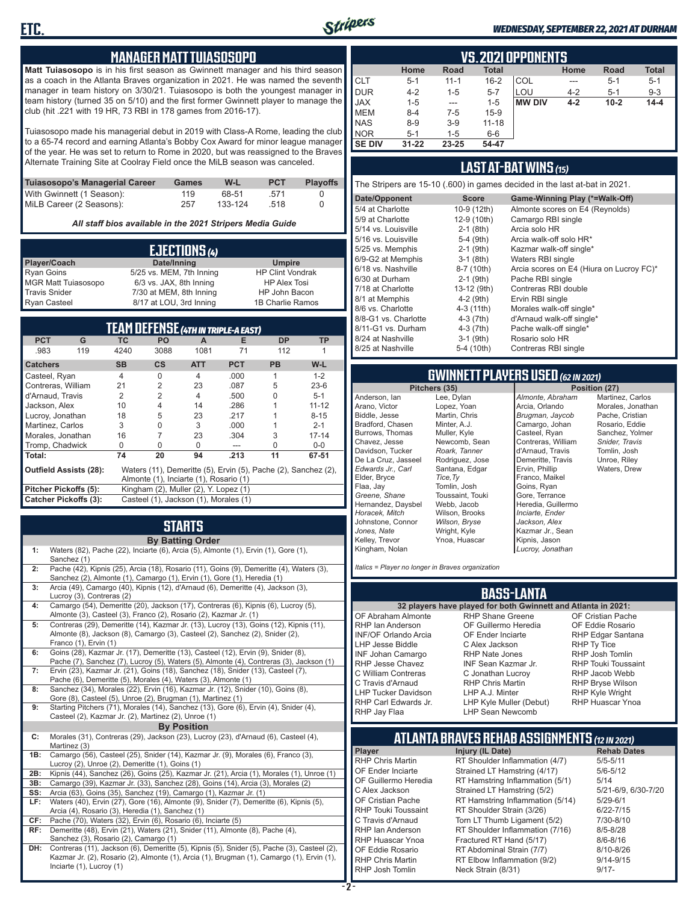

#### *WEDNESDAY, SEPTEMBER 22, 2021 AT DURHAM*

### **MANAGER MATT TUIASOSOPO**

**Matt Tuiasosopo** is in his first season as Gwinnett manager and his third season as a coach in the Atlanta Braves organization in 2021. He was named the seventh manager in team history on 3/30/21. Tuiasosopo is both the youngest manager in team history (turned 35 on 5/10) and the first former Gwinnett player to manage the club (hit .221 with 19 HR, 73 RBI in 178 games from 2016-17).

Tuiasosopo made his managerial debut in 2019 with Class-A Rome, leading the club to a 65-74 record and earning Atlanta's Bobby Cox Award for minor league manager of the year. He was set to return to Rome in 2020, but was reassigned to the Braves Alternate Training Site at Coolray Field once the MiLB season was canceled.

| Tuiasosopo's Managerial Career | Games | W-L     | <b>PCT</b> | <b>Plavoffs</b> |
|--------------------------------|-------|---------|------------|-----------------|
| With Gwinnett (1 Season):      | 119   | 68-51   | .571       |                 |
| MiLB Career (2 Seasons):       | 257   | 133-124 | .518       |                 |

*All staff bios available in the 2021 Stripers Media Guide*

|                            | EJECTIONS (4)            |                         |
|----------------------------|--------------------------|-------------------------|
| Player/Coach               | Date/Inning              | <b>Umpire</b>           |
| <b>Ryan Goins</b>          | 5/25 vs. MEM, 7th Inning | <b>HP Clint Vondrak</b> |
| <b>MGR Matt Tuiasosopo</b> | 6/3 vs. JAX, 8th Inning  | <b>HP Alex Tosi</b>     |
| <b>Travis Snider</b>       | 7/30 at MEM, 8th Inning  | HP John Bacon           |
| <b>Ryan Casteel</b>        | 8/17 at LOU, 3rd Inning  | 1B Charlie Ramos        |

|                               |     |                | TEAM DEFENSE (4TH IN TRIPLE-A EAST)    |            |            |                                                                |           |
|-------------------------------|-----|----------------|----------------------------------------|------------|------------|----------------------------------------------------------------|-----------|
| <b>PCT</b>                    | G   | ТC             | <b>PO</b>                              | A          | Е          | <b>DP</b>                                                      | <b>TP</b> |
| .983                          | 119 | 4240           | 3088                                   | 1081       | 71         | 112                                                            |           |
| <b>Catchers</b>               |     | <b>SB</b>      | <b>CS</b>                              | <b>ATT</b> | <b>PCT</b> | <b>PB</b>                                                      | W-L       |
| Casteel, Ryan                 |     | 4              | O                                      | 4          | .000       |                                                                | $1 - 2$   |
| Contreras, William            |     | 21             | $\mathfrak{p}$                         | 23         | .087       | 5                                                              | $23-6$    |
| d'Arnaud. Travis              |     | $\mathfrak{p}$ | $\overline{2}$                         | 4          | .500       | U                                                              | $5 - 1$   |
| Jackson, Alex                 |     | 10             | 4                                      | 14         | .286       |                                                                | $11 - 12$ |
| Lucroy, Jonathan              |     | 18             | 5                                      | 23         | .217       |                                                                | $8 - 15$  |
| Martinez. Carlos              |     | 3              | 0                                      | 3          | .000       |                                                                | $2 - 1$   |
| Morales, Jonathan             |     | 16             |                                        | 23         | .304       | 3                                                              | $17 - 14$ |
| Tromp, Chadwick               |     | 0              | U                                      | 0          | ---        | U                                                              | $0 - 0$   |
| Total:                        |     | 74             | 20                                     | 94         | .213       | 11                                                             | 67-51     |
| <b>Outfield Assists (28):</b> |     |                | Almonte (1), Inciarte (1), Rosario (1) |            |            | Waters (11), Demeritte (5), Ervin (5), Pache (2), Sanchez (2), |           |
| Pitcher Pickoffs (5):         |     |                | Kingham (2), Muller (2), Y. Lopez (1)  |            |            |                                                                |           |
| <b>Catcher Pickoffs (3):</b>  |     |                | Casteel (1), Jackson (1), Morales (1)  |            |            |                                                                |           |

## **STARTS**

|     | <b>By Batting Order</b>                                                                                                                                                                         |
|-----|-------------------------------------------------------------------------------------------------------------------------------------------------------------------------------------------------|
| 1:  | Waters (82), Pache (22), Inciarte (6), Arcia (5), Almonte (1), Ervin (1), Gore (1),<br>Sanchez (1)                                                                                              |
| 2:  | Pache (42), Kipnis (25), Arcia (18), Rosario (11), Goins (9), Demeritte (4), Waters (3),<br>Sanchez (2), Almonte (1), Camargo (1), Ervin (1), Gore (1), Heredia (1)                             |
| 3:  | Arcia (49), Camargo (40), Kipnis (12), d'Arnaud (6), Demeritte (4), Jackson (3),<br>Lucroy (3), Contreras (2)                                                                                   |
| 4:  | Camargo (54), Demeritte (20), Jackson (17), Contreras (6), Kipnis (6), Lucroy (5),<br>Almonte (3), Casteel (3), Franco (2), Rosario (2), Kazmar Jr. (1)                                         |
| 5:  | Contreras (29), Demeritte (14), Kazmar Jr. (13), Lucroy (13), Goins (12), Kipnis (11),<br>Almonte (8), Jackson (8), Camargo (3), Casteel (2), Sanchez (2), Snider (2),<br>Franco (1), Ervin (1) |
| 6:  | Goins (28), Kazmar Jr. (17), Demeritte (13), Casteel (12), Ervin (9), Snider (8),<br>Pache (7), Sanchez (7), Lucroy (5), Waters (5), Almonte (4), Contreras (3), Jackson (1)                    |
| 7:  | Ervin (23), Kazmar Jr. (21), Goins (18), Sanchez (18), Snider (13), Casteel (7),<br>Pache (6), Demeritte (5), Morales (4), Waters (3), Almonte (1)                                              |
| 8:  | Sanchez (34), Morales (22), Ervin (16), Kazmar Jr. (12), Snider (10), Goins (8),<br>Gore (8), Casteel (5), Unroe (2), Brugman (1), Martinez (1)                                                 |
| 9:  | Starting Pitchers (71), Morales (14), Sanchez (13), Gore (6), Ervin (4), Snider (4),<br>Casteel (2), Kazmar Jr. (2), Martinez (2), Unroe (1)                                                    |
|     | <b>By Position</b>                                                                                                                                                                              |
| C:  | Morales (31), Contreras (29), Jackson (23), Lucroy (23), d'Arnaud (6), Casteel (4),<br>Martinez (3)                                                                                             |
| 1B: | Camargo (56), Casteel (25), Snider (14), Kazmar Jr. (9), Morales (6), Franco (3),<br>Lucroy (2), Unroe (2), Demeritte (1), Goins (1)                                                            |
| 2B: | Kipnis (44), Sanchez (26), Goins (25), Kazmar Jr. (21), Arcia (1), Morales (1), Unroe (1)                                                                                                       |
| 3B: | Camargo (39), Kazmar Jr. (33), Sanchez (28), Goins (14), Arcia (3), Morales (2)                                                                                                                 |
| SS: | Arcia (63), Goins (35), Sanchez (19), Camargo (1), Kazmar Jr. (1)                                                                                                                               |
| LF: | Waters (40), Ervin (27), Gore (16), Almonte (9), Snider (7), Demeritte (6), Kipnis (5),                                                                                                         |
| CF: | Arcia (4), Rosario (3), Heredia (1), Sanchez (1)<br>Pache (70), Waters (32), Ervin (6), Rosario (6), Inciarte (5)                                                                               |
| RF: | Demeritte (48), Ervin (21), Waters (21), Snider (11), Almonte (8), Pache (4),                                                                                                                   |
|     | Sanchez (3), Rosario (2), Camargo (1)                                                                                                                                                           |
| DH: | Contreras (11), Jackson (6), Demeritte (5), Kipnis (5), Snider (5), Pache (3), Casteel (2),                                                                                                     |
|     | Kazmar Jr. (2), Rosario (2), Almonte (1), Arcia (1), Brugman (1), Camargo (1), Ervin (1),                                                                                                       |
|     | Inciarte (1), Lucroy (1)                                                                                                                                                                        |

|               | <b>VS. 2021 OPPONENTS</b>                                                  |          |           |               |         |          |          |  |  |  |  |  |  |  |  |
|---------------|----------------------------------------------------------------------------|----------|-----------|---------------|---------|----------|----------|--|--|--|--|--|--|--|--|
|               | <b>Total</b><br><b>Road</b><br><b>Total</b><br>Home<br><b>Road</b><br>Home |          |           |               |         |          |          |  |  |  |  |  |  |  |  |
| <b>CLT</b>    | $5 - 1$                                                                    | $11 - 1$ | $16 - 2$  | COL           | $---$   | $5-1$    | $5 - 1$  |  |  |  |  |  |  |  |  |
| <b>DUR</b>    | $4 - 2$                                                                    | $1 - 5$  | $5 - 7$   | LOU           | $4 - 2$ | $5 - 1$  | $9 - 3$  |  |  |  |  |  |  |  |  |
| <b>JAX</b>    | $1 - 5$                                                                    | $- - -$  | $1 - 5$   | <b>MW DIV</b> | $4 - 2$ | $10 - 2$ | $14 - 4$ |  |  |  |  |  |  |  |  |
| <b>MEM</b>    | $8 - 4$                                                                    | $7-5$    | $15-9$    |               |         |          |          |  |  |  |  |  |  |  |  |
| <b>NAS</b>    | $8 - 9$                                                                    | $3-9$    | $11 - 18$ |               |         |          |          |  |  |  |  |  |  |  |  |
| <b>NOR</b>    | $5 - 1$                                                                    | $1 - 5$  | $6-6$     |               |         |          |          |  |  |  |  |  |  |  |  |
| <b>SE DIV</b> | $31 - 22$                                                                  | 23-25    | 54-47     |               |         |          |          |  |  |  |  |  |  |  |  |

### **LAST AT-BAT WINS** *(15)*

The Stripers are 15-10 (.600) in games decided in the last at-bat in 2021.

| Date/Opponent        | <b>Score</b> | Game-Winning Play (*=Walk-Off)           |
|----------------------|--------------|------------------------------------------|
| 5/4 at Charlotte     | 10-9 (12th)  | Almonte scores on E4 (Reynolds)          |
| 5/9 at Charlotte     | 12-9 (10th)  | Camargo RBI single                       |
| 5/14 vs. Louisville  | $2-1$ (8th)  | Arcia solo HR                            |
| 5/16 vs. Louisville  | 5-4 (9th)    | Arcia walk-off solo HR*                  |
| 5/25 vs. Memphis     | $2-1$ (9th)  | Kazmar walk-off single*                  |
| 6/9-G2 at Memphis    | $3-1$ (8th)  | Waters RBI single                        |
| 6/18 vs. Nashville   | 8-7 (10th)   | Arcia scores on E4 (Hiura on Lucroy FC)* |
| 6/30 at Durham       | $2-1$ (9th)  | Pache RBI single                         |
| 7/18 at Charlotte    | 13-12 (9th)  | Contreras RBI double                     |
| 8/1 at Memphis       | $4-2$ (9th)  | Ervin RBI single                         |
| 8/6 vs. Charlotte    | 4-3 (11th)   | Morales walk-off single*                 |
| 8/8-G1 vs. Charlotte | $4-3(7th)$   | d'Arnaud walk-off single*                |
| 8/11-G1 vs. Durham   | $4-3(7th)$   | Pache walk-off single*                   |
| 8/24 at Nashville    | $3-1$ (9th)  | Rosario solo HR                          |
| 8/25 at Nashville    | 5-4 (10th)   | Contreras RBI single                     |
|                      |              |                                          |

## **GWINNETT PLAYERS USED** *(62 IN 2021)*

Anderson, Ian Arano, Victor Biddle, Jesse Bradford, Chasen Burrows, Thomas Chavez, Jesse Davidson, Tucker De La Cruz, Jasseel *Edwards Jr., Carl* Elder, Bryce Flaa, Jay *Greene, Shane*  Hernandez, Daysbel *Horacek, Mitch* Johnstone, Connor *Jones, Nate* Kelley, Trevor Kingham, Nolan

Lee, Dylan Lopez, Yoan Martin, Chris Minter, A.J. Muller, Kyle Newcomb, Sean *Roark, Tanner* Rodriguez, Jose Santana, Edgar *Tice,Ty* Tomlin, Josh Toussaint, Touki Webb, Jacob Wilson, Brooks *Wilson, Bryse* Wright, Kyle Ynoa, Huascar

**Position (27)** *Almonte, Abraham* Arcia, Orlando *Brugman, Jaycob* Camargo, Johan Casteel, Ryan Contreras, William d'Arnaud, Travis Demeritte, Travis Ervin, Phillip Franco, Maikel Goins, Ryan Gore, Terrance Heredia, Guillermo *Inciarte, Ender Jackson, Alex* Kazmar Jr., Sean Kipnis, Jason *Lucroy, Jonathan*

Martinez, Carlos Morales, Jonathan Pache, Cristian Rosario, Eddie Sanchez, Yolmer *Snider, Travis* Tomlin, Josh Unroe, Riley Waters, Drew

*Italics = Player no longer in Braves organization*

### **BASS-LANTA**

OF Abraham Almonte RHP Ian Anderson INF/OF Orlando Arcia LHP Jesse Biddle INF Johan Camargo RHP Jesse Chavez C William Contreras C Travis d'Arnaud LHP Tucker Davidson RHP Carl Edwards Jr. RHP Jay Flaa

**32 players have played for both Gwinnett and Atlanta in 2021:** RHP Shane Greene OF Guillermo Heredia OF Ender Inciarte C Alex Jackson RHP Nate Jones INF Sean Kazmar Jr. C Jonathan Lucroy RHP Chris Martin LHP A.J. Minter LHP Kyle Muller (Debut) LHP Sean Newcomb

OF Cristian Pache OF Eddie Rosario RHP Edgar Santana RHP Ty Tice RHP Josh Tomlin RHP Touki Toussaint RHP Jacob Webb RHP Bryse Wilson RHP Kyle Wright RHP Huascar Ynoa

#### **ATLANTA BRAVES REHAB ASSIGNMENTS** *(12 IN 2021)* **Player Injury (IL Date)**

RHP Chris Martin RT Shoulder Inflammation (4/7) 5/5-5/11<br>OF Ender Inciarte Strained LT Hamstring (4/17) 5/6-5/12 OF Ender Inciarte Strained LT Hamstring (4/17)<br>OF Guillermo Heredia RT Hamstring Inflammation (5) RT Hamstring Inflammation  $(5/1)$  5/14<br>Strained LT Hamstring  $(5/2)$  5/21-6/9, 6/30-7/20 C Alex Jackson Strained LT Hamstring (5/2) 5/21-6/9<br>CF Cristian Pache RT Hamstring Inflammation (5/14) 5/29-6/1 OF Cristian Pache RT Hamstring Inflammation (5/14) 5/29-6/1<br>RHP Touki Toussaint RT Shoulder Strain (3/26) 6/22-7/15 RT Shoulder Strain (3/26) C Travis d'Arnaud Torn LT Thumb Ligament (5/2) 7/30-8/10 RHP Ian Anderson RT Shoulder Inflammation (7/16) 8/5-8/28<br>RHP Huascar Ynoa Fractured RT Hand (5/17) 8/6-8/16 RHP Huascar Ynoa Fractured RT Hand (5/17) 8/6-8/16<br>OF Eddie Rosario RT Abdominal Strain (7/7) 8/10-8/26 RT Abdominal Strain (7/7) RHP Chris Martin **RT Elbow Inflammation (9/2)** 9/14-9/15<br>RHP Josh Tomlin Neck Strain (8/31) 9/17-Neck Strain (8/31)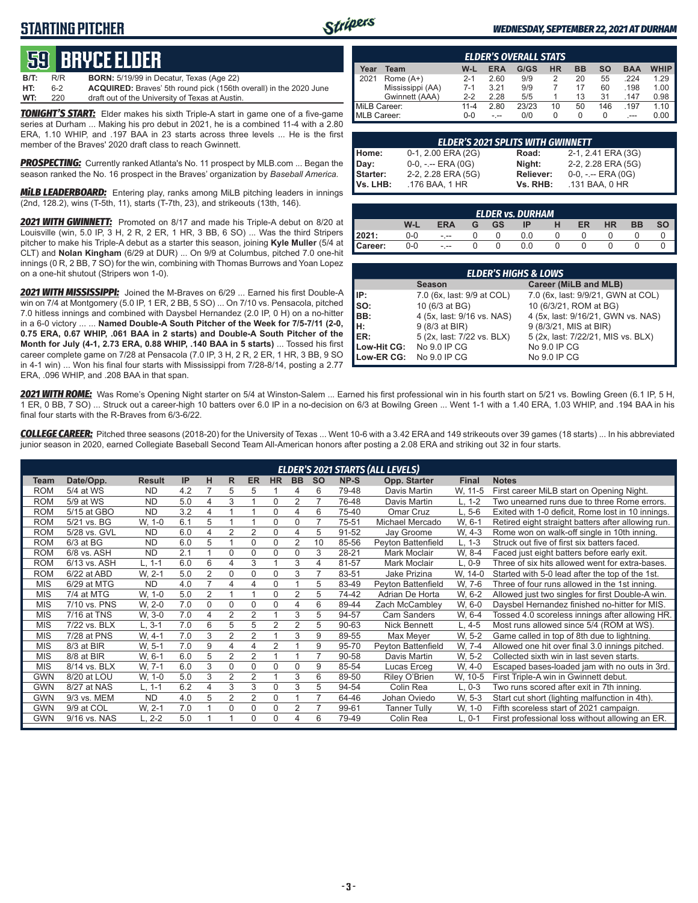## **STARTING PITCHER**



#### *WEDNESDAY, SEPTEMBER 22, 2021 AT DURHAM*

## **59****bryce elder**

| WT:  | 220 | draft out of the University of Texas at Austin.                          |
|------|-----|--------------------------------------------------------------------------|
| HT:  | հ-2 | <b>ACQUIRED:</b> Braves' 5th round pick (156th overall) in the 2020 June |
| B/T: | R/R | <b>BORN:</b> 5/19/99 in Decatur, Texas (Age 22)                          |

*TONIGHT'S START:* Elder makes his sixth Triple-A start in game one of a five-game series at Durham ... Making his pro debut in 2021, he is a combined 11-4 with a 2.80 ERA, 1.10 WHIP, and .197 BAA in 23 starts across three levels ... He is the first member of the Braves' 2020 draft class to reach Gwinnett.

*PROSPECTING:* Currently ranked Atlanta's No. 11 prospect by MLB.com ... Began the season ranked the No. 16 prospect in the Braves' organization by *Baseball America.*

*MiLB LEADERBOARD:* Entering play, ranks among MiLB pitching leaders in innings (2nd, 128.2), wins (T-5th, 11), starts (T-7th, 23), and strikeouts (13th, 146).

*2021 WITH GWINNETT:* Promoted on 8/17 and made his Triple-A debut on 8/20 at Louisville (win, 5.0 IP, 3 H, 2 R, 2 ER, 1 HR, 3 BB, 6 SO) ... Was the third Stripers pitcher to make his Triple-A debut as a starter this season, joining **Kyle Muller** (5/4 at CLT) and **Nolan Kingham** (6/29 at DUR) ... On 9/9 at Columbus, pitched 7.0 one-hit innings (0 R, 2 BB, 7 SO) for the win, combining with Thomas Burrows and Yoan Lopez on a one-hit shutout (Stripers won 1-0).

*2021 WITH MISSISSIPPI:* Joined the M-Braves on 6/29 ... Earned his first Double-A win on 7/4 at Montgomery (5.0 IP, 1 ER, 2 BB, 5 SO) ... On 7/10 vs. Pensacola, pitched 7.0 hitless innings and combined with Daysbel Hernandez (2.0 IP, 0 H) on a no-hitter in a 6-0 victory ... ... **Named Double-A South Pitcher of the Week for 7/5-7/11 (2-0, 0.75 ERA, 0.67 WHIP, .061 BAA in 2 starts) and Double-A South Pitcher of the Month for July (4-1, 2.73 ERA, 0.88 WHIP, .140 BAA in 5 starts)** ... Tossed his first career complete game on 7/28 at Pensacola (7.0 IP, 3 H, 2 R, 2 ER, 1 HR, 3 BB, 9 SO in 4-1 win) ... Won his final four starts with Mississippi from 7/28-8/14, posting a 2.77 ERA, .096 WHIP, and .208 BAA in that span.

|              | <b>ELDER'S OVERALL STATS</b> |          |      |       |    |           |     |            |             |  |  |  |  |  |  |
|--------------|------------------------------|----------|------|-------|----|-----------|-----|------------|-------------|--|--|--|--|--|--|
| ear          | Team                         | W-L      | ERA  | G/GS  | HR | <b>BB</b> | SΟ  | <b>BAA</b> | <b>WHIP</b> |  |  |  |  |  |  |
|              | Rome $(A+)$                  | $2 - 1$  | 2.60 | 9/9   |    | 20        | 55  | .224       | 1.29        |  |  |  |  |  |  |
|              | Mississippi (AA)             | $7-1$    | 3.21 | 9/9   |    | 17        | 60  | .198       | 1.00        |  |  |  |  |  |  |
|              | Gwinnett (AAA)               | $2-2$    | 2.28 | 5/5   |    | 13        | 31  | .147       | 0.98        |  |  |  |  |  |  |
| MiLB Career: |                              | $11 - 4$ | 2.80 | 23/23 | 10 | 50        | 146 | .197       | 1.10        |  |  |  |  |  |  |
| MLB Career:  |                              | 0-0      |      | 0/0   |    |           |     |            |             |  |  |  |  |  |  |

| <b>ELDER'S 2021 SPLITS WITH GWINNETT</b> |                       |           |                       |  |  |  |  |  |  |  |  |
|------------------------------------------|-----------------------|-----------|-----------------------|--|--|--|--|--|--|--|--|
| Home:                                    | 0-1, 2.00 ERA (2G)    | Road:     | 2-1, 2.41 ERA (3G)    |  |  |  |  |  |  |  |  |
| Day:                                     | $0-0, - -$ ERA $(0G)$ | Night:    | 2-2, 2.28 ERA (5G)    |  |  |  |  |  |  |  |  |
| Starter:                                 | 2-2, 2.28 ERA (5G)    | Reliever: | $0-0, - -$ ERA $(0G)$ |  |  |  |  |  |  |  |  |
| <b>Vs. LHB:</b>                          | .176 BAA, 1 HR        | Vs. RHB:  | .131 BAA, 0 HR        |  |  |  |  |  |  |  |  |

|                                                                          | <b>ELDER vs. DURHAM</b> |          |  |  |     |  |  |  |  |  |  |  |  |  |  |
|--------------------------------------------------------------------------|-------------------------|----------|--|--|-----|--|--|--|--|--|--|--|--|--|--|
| W-L<br><b>GS</b><br><b>HR</b><br><b>ERA</b><br>ER<br>ВB<br>IP<br>SΟ<br>н |                         |          |  |  |     |  |  |  |  |  |  |  |  |  |  |
| 2021:                                                                    | 0-0                     | $-1 - 1$ |  |  | 0.0 |  |  |  |  |  |  |  |  |  |  |
| Career:                                                                  | 0-0                     | $ -$     |  |  | 0.0 |  |  |  |  |  |  |  |  |  |  |

| <b>ELDER'S HIGHS &amp; LOWS</b> |                            |                                    |  |  |  |  |  |  |  |  |  |
|---------------------------------|----------------------------|------------------------------------|--|--|--|--|--|--|--|--|--|
|                                 | <b>Season</b>              | Career (MiLB and MLB)              |  |  |  |  |  |  |  |  |  |
| IP:                             | 7.0 (6x, last: 9/9 at COL) | 7.0 (6x, last: 9/9/21, GWN at COL) |  |  |  |  |  |  |  |  |  |
| Iso:                            | 10 (6/3 at BG)             | 10 (6/3/21, ROM at BG)             |  |  |  |  |  |  |  |  |  |
| BB:                             | 4 (5x, last: 9/16 vs. NAS) | 4 (5x, last: 9/16/21, GWN vs. NAS) |  |  |  |  |  |  |  |  |  |
| Iн:                             | 9 (8/3 at BIR)             | 9 (8/3/21, MIS at BIR)             |  |  |  |  |  |  |  |  |  |
| <b>IER:</b>                     | 5 (2x, last: 7/22 vs. BLX) | 5 (2x, last: 7/22/21, MIS vs. BLX) |  |  |  |  |  |  |  |  |  |
| Low-Hit CG:                     | No 9.0 IP CG               | No 9.0 IP CG                       |  |  |  |  |  |  |  |  |  |
| Low-ER CG:                      | No 9.0 IP CG               | No 9.0 IP CG                       |  |  |  |  |  |  |  |  |  |

*2021 WITH ROME:* Was Rome's Opening Night starter on 5/4 at Winston-Salem ... Earned his first professional win in his fourth start on 5/21 vs. Bowling Green (6.1 IP, 5 H, 1 ER, 0 BB, 7 SO) ... Struck out a career-high 10 batters over 6.0 IP in a no-decision on 6/3 at Bowilng Green ... Went 1-1 with a 1.40 ERA, 1.03 WHIP, and .194 BAA in his final four starts with the R-Braves from 6/3-6/22.

*COLLEGE CAREER:* Pitched three seasons (2018-20) for the University of Texas ... Went 10-6 with a 3.42 ERA and 149 strikeouts over 39 games (18 starts) ... In his abbreviated junior season in 2020, earned Collegiate Baseball Second Team All-American honors after posting a 2.08 ERA and striking out 32 in four starts.

|            | <b>ELDER'S 2021 STARTS (ALL LEVELS)</b> |               |     |                |                |                |                |                |           |       |                     |              |                                                    |  |
|------------|-----------------------------------------|---------------|-----|----------------|----------------|----------------|----------------|----------------|-----------|-------|---------------------|--------------|----------------------------------------------------|--|
| Team       | Date/Opp.                               | <b>Result</b> | IP  | н              | R              | <b>ER</b>      | <b>HR</b>      | <b>BB</b>      | <b>SO</b> | NP-S  | Opp. Starter        | <b>Final</b> | <b>Notes</b>                                       |  |
| <b>ROM</b> | 5/4 at WS                               | ND.           | 4.2 | 7              | 5              | 5              |                | 4              | 6         | 79-48 | Davis Martin        | W. 11-5      | First career MiLB start on Opening Night.          |  |
| <b>ROM</b> | 5/9 at WS                               | <b>ND</b>     | 5.0 | 4              | 3              |                | $\Omega$       | 2              |           | 76-48 | Davis Martin        | L. 1-2       | Two unearned runs due to three Rome errors.        |  |
| <b>ROM</b> | 5/15 at GBO                             | <b>ND</b>     | 3.2 | 4              | $\overline{ }$ |                | 0              | 4              | 6         | 75-40 | Omar Cruz           | L, 5-6       | Exited with 1-0 deficit, Rome lost in 10 innings.  |  |
| <b>ROM</b> | 5/21 vs. BG                             | W, 1-0        | 6.1 | 5              |                |                | 0              | 0              |           | 75-51 | Michael Mercado     | W. 6-1       | Retired eight straight batters after allowing run. |  |
| <b>ROM</b> | 5/28 vs. GVL                            | ND.           | 6.0 | 4              | 2              | $\overline{2}$ | 0              | 4              | 5         | 91-52 | Jay Groome          | W, 4-3       | Rome won on walk-off single in 10th inning.        |  |
| <b>ROM</b> | $6/3$ at BG                             | <b>ND</b>     | 6.0 | 5              |                | $\Omega$       | 0              | $\overline{2}$ | 10        | 85-56 | Peyton Battenfield  | $L, 1-3$     | Struck out five of first six batters faced.        |  |
| <b>ROM</b> | 6/8 vs. ASH                             | <b>ND</b>     | 2.1 |                | $\Omega$       | $\Omega$       | $\Omega$       | 0              | 3         | 28-21 | Mark Moclair        | W. 8-4       | Faced just eight batters before early exit.        |  |
| <b>ROM</b> | 6/13 vs. ASH                            | L. 1-1        | 6.0 | 6              | 4              | 3              |                | 3              | 4         | 81-57 | Mark Moclair        | L, 0-9       | Three of six hits allowed went for extra-bases.    |  |
| <b>ROM</b> | 6/22 at ABD                             | W. 2-1        | 5.0 | $\overline{2}$ | 0              | $\Omega$       | $\Omega$       | 3              |           | 83-51 | Jake Prizina        | W. 14-0      | Started with 5-0 lead after the top of the 1st.    |  |
| <b>MIS</b> | 6/29 at MTG                             | <b>ND</b>     | 4.0 | $\overline{7}$ | 4              | 4              | $\Omega$       |                | 5         | 83-49 | Peyton Battenfield  | W, 7-6       | Three of four runs allowed in the 1st inning.      |  |
| <b>MIS</b> | 7/4 at MTG                              | W, 1-0        | 5.0 | $\overline{2}$ |                |                | $\Omega$       | $\overline{2}$ | 5         | 74-42 | Adrian De Horta     | W. 6-2       | Allowed just two singles for first Double-A win.   |  |
| <b>MIS</b> | 7/10 vs. PNS                            | W, 2-0        | 7.0 | 0              | 0              | 0              | 0              | 4              | 6         | 89-44 | Zach McCambley      | W, 6-0       | Daysbel Hernandez finished no-hitter for MIS.      |  |
| <b>MIS</b> | 7/16 at TNS                             | W, 3-0        | 7.0 | 4              | 2              | 2              |                | 3              | 5         | 94-57 | <b>Cam Sanders</b>  | W. 6-4       | Tossed 4.0 scoreless innings after allowing HR.    |  |
| <b>MIS</b> | 7/22 vs. BLX                            | $L.3-1$       | 7.0 | 6              | 5              | 5              | $\overline{2}$ | $\overline{2}$ | 5         | 90-63 | Nick Bennett        | L. 4-5       | Most runs allowed since 5/4 (ROM at WS).           |  |
| MIS        | 7/28 at PNS                             | W. 4-1        | 7.0 | 3              | $\overline{2}$ | $\overline{2}$ |                | 3              | 9         | 89-55 | Max Meyer           | W. 5-2       | Game called in top of 8th due to lightning.        |  |
| <b>MIS</b> | 8/3 at BIR                              | W. 5-1        | 7.0 | 9              | 4              | 4              | $\overline{2}$ |                | 9         | 95-70 | Peyton Battenfield  | W. 7-4       | Allowed one hit over final 3.0 innings pitched.    |  |
| <b>MIS</b> | 8/8 at BIR                              | W, 6-1        | 6.0 | 5              | $\overline{2}$ | $\overline{2}$ |                |                | 7         | 90-58 | Davis Martin        | W. 5-2       | Collected sixth win in last seven starts.          |  |
| <b>MIS</b> | 8/14 vs. BLX                            | W. 7-1        | 6.0 | 3              | $\Omega$       | 0              | $\Omega$       | 0              | 9         | 85-54 | Lucas Erceg         | W, 4-0       | Escaped bases-loaded jam with no outs in 3rd.      |  |
| <b>GWN</b> | 8/20 at LOU                             | W, 1-0        | 5.0 | 3              | 2              | $\overline{2}$ |                | 3              | 6         | 89-50 | Riley O'Brien       | W, 10-5      | First Triple-A win in Gwinnett debut.              |  |
| <b>GWN</b> | 8/27 at NAS                             | L, 1-1        | 6.2 | 4              | 3              | 3              | $\Omega$       | 3              | 5         | 94-54 | Colin Rea           | $L, 0-3$     | Two runs scored after exit in 7th inning.          |  |
| <b>GWN</b> | 9/3 vs. MEM                             | <b>ND</b>     | 4.0 | 5              | $\overline{2}$ | $\overline{2}$ | $\Omega$       |                | 7         | 64-46 | Johan Oviedo        | W. 5-3       | Start cut short (lighting malfunction in 4th).     |  |
| <b>GWN</b> | 9/9 at COL                              | W. 2-1        | 7.0 |                | 0              | 0              | $\Omega$       | 2              | 7         | 99-61 | <b>Tanner Tully</b> | W, 1-0       | Fifth scoreless start of 2021 campaign.            |  |
| <b>GWN</b> | 9/16 vs. NAS                            | L. 2-2        | 5.0 |                |                | 0              | $\Omega$       | 4              | 6         | 79-49 | Colin Rea           | $L, 0-1$     | First professional loss without allowing an ER.    |  |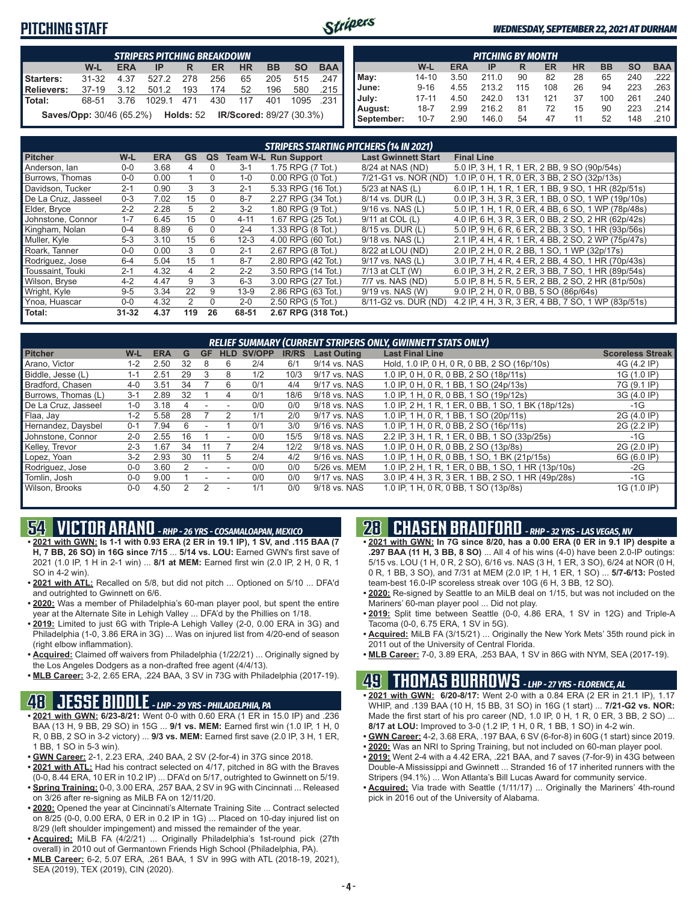## **PITCHING STAFF**



#### *WEDNESDAY, SEPTEMBER 22, 2021 AT DURHAM*

|                                                                                        |            |  | <b>STRIPERS PITCHING BREAKDOWN</b> |  |  |    |  |              |  |  |  |  |  |
|----------------------------------------------------------------------------------------|------------|--|------------------------------------|--|--|----|--|--------------|--|--|--|--|--|
| <b>BAA</b><br><b>BB</b><br><b>SO</b><br>W-L<br><b>HR</b><br><b>ERA</b><br>ER<br>$IP$ R |            |  |                                    |  |  |    |  |              |  |  |  |  |  |
| Starters:                                                                              | 31-32      |  | 4.37 527.2 278 256                 |  |  | 65 |  | 205 515 .247 |  |  |  |  |  |
| Relievers: 37-19 3.12 501.2 193 174 52 196 580 215                                     |            |  |                                    |  |  |    |  |              |  |  |  |  |  |
| l Total:                                                                               | 68-51 3.76 |  | 1029.1 471 430 117 401 1095 .231   |  |  |    |  |              |  |  |  |  |  |
| <b>Saves/Opp:</b> 30/46 (65.2%) Holds: 52 IR/Scored: 89/27 (30.3%)                     |            |  |                                    |  |  |    |  |              |  |  |  |  |  |

|            | <b>PITCHING BY MONTH</b>                                                                |      |       |     |     |    |     |     |                       |  |  |  |  |  |  |
|------------|-----------------------------------------------------------------------------------------|------|-------|-----|-----|----|-----|-----|-----------------------|--|--|--|--|--|--|
|            | <b>BAA</b><br><b>BB</b><br><b>SO</b><br><b>HR</b><br>W-L<br><b>ERA</b><br>ER<br>IP<br>R |      |       |     |     |    |     |     |                       |  |  |  |  |  |  |
| May:       | $14 - 10$                                                                               | 3.50 | 211.0 | 90  | 82  | 28 | 65  | 240 | $.222$ $\blacksquare$ |  |  |  |  |  |  |
| June:      | $9 - 16$                                                                                | 4.55 | 213.2 | 115 | 108 | 26 | 94  | 223 | $.263$ $\blacksquare$ |  |  |  |  |  |  |
| July:      | $17 - 11$                                                                               | 4.50 | 242.0 | 131 | 121 | 37 | 100 | 261 | .240                  |  |  |  |  |  |  |
| August:    | $18 - 7$                                                                                | 2.99 | 216.2 | 81  | 72  | 15 | 90  | 223 | .214 I                |  |  |  |  |  |  |
| September: | $10 - 7$                                                                                | 2.90 | 146.0 | 54  | 47  | 11 | 52  | 148 | .210                  |  |  |  |  |  |  |

|                     | <b>STRIPERS STARTING PITCHERS (14 IN 2021)</b> |            |           |          |          |                             |                            |                                                    |  |  |  |  |  |  |
|---------------------|------------------------------------------------|------------|-----------|----------|----------|-----------------------------|----------------------------|----------------------------------------------------|--|--|--|--|--|--|
| <b>Pitcher</b>      | $W-L$                                          | <b>ERA</b> | <b>GS</b> | QS       |          | <b>Team W-L Run Support</b> | <b>Last Gwinnett Start</b> | <b>Final Line</b>                                  |  |  |  |  |  |  |
| Anderson, lan       | $0 - 0$                                        | 3.68       | 4         | 0        | $3 - 1$  | 1.75 RPG (7 Tot.)           | 8/24 at NAS (ND)           | 5.0 IP, 3 H, 1 R, 1 ER, 2 BB, 9 SO (90p/54s)       |  |  |  |  |  |  |
| Burrows. Thomas     | $0 - 0$                                        | 0.00       |           | 0        | $1 - 0$  | $0.00$ RPG $(0$ Tot.)       | 7/21-G1 vs. NOR (ND)       | 1.0 IP, 0 H, 1 R, 0 ER, 3 BB, 2 SO (32p/13s)       |  |  |  |  |  |  |
| Davidson, Tucker    | $2 - 1$                                        | 0.90       | 3         | 3        | $2 - 1$  | 5.33 RPG (16 Tot.)          | 5/23 at NAS (L)            | 6.0 IP, 1 H, 1 R, 1 ER, 1 BB, 9 SO, 1 HR (82p/51s) |  |  |  |  |  |  |
| De La Cruz, Jasseel | $0 - 3$                                        | 7.02       | 15        | $\Omega$ | $8 - 7$  | 2.27 RPG (34 Tot.)          | 8/14 vs. DUR (L)           | 0.0 IP, 3 H, 3 R, 3 ER, 1 BB, 0 SO, 1 WP (19p/10s) |  |  |  |  |  |  |
| Elder, Bryce        | $2 - 2$                                        | 2.28       | 5         | 2        | $3 - 2$  | 1.80 RPG (9 Tot.)           | $9/16$ vs. NAS (L)         | 5.0 IP, 1 H, 1 R, 0 ER, 4 BB, 6 SO, 1 WP (78p/48s) |  |  |  |  |  |  |
| Johnstone, Connor   | $1 - 7$                                        | 6.45       | 15        | $\Omega$ | $4 - 11$ | 1.67 RPG (25 Tot.)          | 9/11 at COL (L)            | 4.0 IP, 6 H, 3 R, 3 ER, 0 BB, 2 SO, 2 HR (62p/42s) |  |  |  |  |  |  |
| Kingham, Nolan      | $0 - 4$                                        | 8.89       | 6         | $\Omega$ | $2 - 4$  | 1.33 RPG (8 Tot.)           | 8/15 vs. DUR (L)           | 5.0 IP, 9 H, 6 R, 6 ER, 2 BB, 3 SO, 1 HR (93p/56s) |  |  |  |  |  |  |
| Muller, Kyle        | $5-3$                                          | 3.10       | 15        | 6        | $12 - 3$ | 4.00 RPG (60 Tot.)          | 9/18 vs. NAS (L)           | 2.1 IP, 4 H, 4 R, 1 ER, 4 BB, 2 SO, 2 WP (75p/47s) |  |  |  |  |  |  |
| Roark. Tanner       | $0 - 0$                                        | 0.00       | 3         | $\Omega$ | $2 - 1$  | 2.67 RPG (8 Tot.)           | 8/22 at LOU (ND)           | 2.0 IP, 2 H, 0 R, 2 BB, 1 SO, 1 WP (32p/17s)       |  |  |  |  |  |  |
| Rodriguez, Jose     | $6 - 4$                                        | 5.04       | 15        |          | $8 - 7$  | 2.80 RPG (42 Tot.)          | 9/17 vs. NAS (L)           | 3.0 IP, 7 H, 4 R, 4 ER, 2 BB, 4 SO, 1 HR (70p/43s) |  |  |  |  |  |  |
| Toussaint. Touki    | $2 - 1$                                        | 4.32       | 4         | 2        | $2 - 2$  | 3.50 RPG (14 Tot.)          | 7/13 at CLT (W)            | 6.0 IP, 3 H, 2 R, 2 ER, 3 BB, 7 SO, 1 HR (89p/54s) |  |  |  |  |  |  |
| Wilson, Bryse       | $4 - 2$                                        | 4.47       | 9         | 3        | $6 - 3$  | 3.00 RPG (27 Tot.)          | 7/7 vs. NAS (ND)           | 5.0 IP, 8 H, 5 R, 5 ER, 2 BB, 2 SO, 2 HR (81p/50s) |  |  |  |  |  |  |
| Wright, Kyle        | $9 - 5$                                        | 3.34       | 22        | 9        | $13-9$   | 2.86 RPG (63 Tot.)          | 9/19 vs. NAS (W)           | 9.0 IP, 2 H, 0 R, 0 BB, 5 SO (86p/64s)             |  |  |  |  |  |  |
| Ynoa, Huascar       | $0-0$                                          | 4.32       | 2         | $\Omega$ | $2 - 0$  | 2.50 RPG (5 Tot.)           | 8/11-G2 vs. DUR (ND)       | 4.2 IP, 4 H, 3 R, 3 ER, 4 BB, 7 SO, 1 WP (83p/51s) |  |  |  |  |  |  |
| Total:              | $31 - 32$                                      | 4.37       | 119       | 26       | 68-51    | 2.67 RPG (318 Tot.)         |                            |                                                    |  |  |  |  |  |  |

|                     | <b>RELIEF SUMMARY (CURRENT STRIPERS ONLY, GWINNETT STATS ONLY)</b> |            |    |    |                          |        |              |                    |                                                    |                         |  |  |  |  |
|---------------------|--------------------------------------------------------------------|------------|----|----|--------------------------|--------|--------------|--------------------|----------------------------------------------------|-------------------------|--|--|--|--|
| <b>Pitcher</b>      | W-L                                                                | <b>ERA</b> | G  | GF | <b>HLD</b>               | SV/OPP | <b>IR/RS</b> | <b>Last Outing</b> | <b>Last Final Line</b>                             | <b>Scoreless Streak</b> |  |  |  |  |
| Arano, Victor       | $1 - 2$                                                            | 2.50       | 32 |    | 6                        | 2/4    | 6/1          | 9/14 vs. NAS       | Hold, 1.0 IP, 0 H, 0 R, 0 BB, 2 SO (16p/10s)       | 4G (4.2 IP)             |  |  |  |  |
| Biddle, Jesse (L)   | 1-1                                                                | 2.51       | 29 | З  | 8                        | 1/2    | 10/3         | 9/17 vs. NAS       | 1.0 IP, 0 H, 0 R, 0 BB, 2 SO (18p/11s)             | 1G (1.0 IP)             |  |  |  |  |
| Bradford, Chasen    | $4 - 0$                                                            | 3.51       | 34 |    | 6                        | 0/1    | 4/4          | 9/17 vs. NAS       | 1.0 IP, 0 H, 0 R, 1 BB, 1 SO (24p/13s)             | 7G (9.1 IP)             |  |  |  |  |
| Burrows, Thomas (L) | $3 - 1$                                                            | 2.89       | 32 |    | 4                        | 0/1    | 18/6         | 9/18 vs. NAS       | 1.0 IP, 1 H, 0 R, 0 BB, 1 SO (19p/12s)             | 3G (4.0 IP)             |  |  |  |  |
| De La Cruz, Jasseel | $1 - 0$                                                            | 3.18       | 4  |    |                          | 0/0    | 0/0          | 9/18 vs. NAS       | 1.0 IP, 2 H, 1 R, 1 ER, 0 BB, 1 SO, 1 BK (18p/12s) | -1G                     |  |  |  |  |
| Flaa, Jay           | $1 - 2$                                                            | 5.58       | 28 |    |                          | 1/1    | 2/0          | 9/17 vs. NAS       | 1.0 IP, 1 H, 0 R, 1 BB, 1 SO (20p/11s)             | 2G (4.0 IP)             |  |  |  |  |
| Hernandez, Daysbel  | $0 - 1$                                                            | 7.94       | h  |    |                          | 0/1    | 3/0          | 9/16 vs. NAS       | 1.0 IP, 1 H, 0 R, 0 BB, 2 SO (16p/11s)             | 2G (2.2 IP)             |  |  |  |  |
| Johnstone, Connor   | $2 - 0$                                                            | 2.55       | 16 |    | $\overline{\phantom{a}}$ | 0/0    | 15/5         | 9/18 vs. NAS       | 2.2 IP, 3 H, 1 R, 1 ER, 0 BB, 1 SO (33p/25s)       | $-1G$                   |  |  |  |  |
| Kelley, Trevor      | $2 - 3$                                                            | .67        | 34 |    |                          | 2/4    | 12/2         | 9/18 vs. NAS       | 1.0 IP, 0 H, 0 R, 0 BB, 2 SO (13p/8s)              | 2G (2.0 IP)             |  |  |  |  |
| Lopez, Yoan         | $3-2$                                                              | 2.93       | 30 |    | 5                        | 2/4    | 4/2          | 9/16 vs. NAS       | 1.0 IP, 1 H, 0 R, 0 BB, 1 SO, 1 BK (21p/15s)       | 6G (6.0 IP)             |  |  |  |  |
| Rodriguez, Jose     | $0 - 0$                                                            | 3.60       |    | ۰  |                          | 0/0    | 0/0          | 5/26 vs. MEM       | 1.0 IP, 2 H, 1 R, 1 ER, 0 BB, 1 SO, 1 HR (13p/10s) | $-2G$                   |  |  |  |  |
| Tomlin, Josh        | $0 - 0$                                                            | 9.00       |    |    |                          | 0/0    | 0/0          | 9/17 vs. NAS       | 3.0 IP, 4 H, 3 R, 3 ER, 1 BB, 2 SO, 1 HR (49p/28s) | $-1G$                   |  |  |  |  |
| Wilson, Brooks      | $0 - 0$                                                            | 4.50       |    |    |                          | 1/1    | 0/0          | 9/18 vs. NAS       | 1.0 IP, 1 H, 0 R, 0 BB, 1 SO (13p/8s)              | 1G (1.0 IP)             |  |  |  |  |

## **54 VICTOR ARANO** *- RHP - 26 YRS - COSAMALOAPAN, MEXICO*

- **• 2021 with GWN: Is 1-1 with 0.93 ERA (2 ER in 19.1 IP), 1 SV, and .115 BAA (7 H, 7 BB, 26 SO) in 16G since 7/15** ... **5/14 vs. LOU:** Earned GWN's first save of 2021 (1.0 IP, 1 H in 2-1 win) ... **8/1 at MEM:** Earned first win (2.0 IP, 2 H, 0 R, 1 SO in 4-2 win).
- **• 2021 with ATL:** Recalled on 5/8, but did not pitch ... Optioned on 5/10 ... DFA'd and outrighted to Gwinnett on 6/6.
- **• 2020:** Was a member of Philadelphia's 60-man player pool, but spent the entire year at the Alternate Site in Lehigh Valley ... DFA'd by the Phillies on 1/18.
- **• 2019:** Limited to just 6G with Triple-A Lehigh Valley (2-0, 0.00 ERA in 3G) and Philadelphia (1-0, 3.86 ERA in 3G) ... Was on injured list from 4/20-end of season (right elbow inflammation).
- **• Acquired:** Claimed off waivers from Philadelphia (1/22/21) ... Originally signed by the Los Angeles Dodgers as a non-drafted free agent (4/4/13).
- **• MLB Career:** 3-2, 2.65 ERA, .224 BAA, 3 SV in 73G with Philadelphia (2017-19).

## **48 JESSE BIDDLE** *- LHP - 29 YRS - PHILADELPHIA, PA*

- **• 2021 with GWN: 6/23-8/21:** Went 0-0 with 0.60 ERA (1 ER in 15.0 IP) and .236 BAA (13 H, 9 BB, 29 SO) in 15G ... **9/1 vs. MEM:** Earned first win (1.0 IP, 1 H, 0 R, 0 BB, 2 SO in 3-2 victory) ... **9/3 vs. MEM:** Earned first save (2.0 IP, 3 H, 1 ER, 1 BB, 1 SO in 5-3 win).
- **• GWN Career:** 2-1, 2.23 ERA, .240 BAA, 2 SV (2-for-4) in 37G since 2018.
- **• 2021 with ATL:** Had his contract selected on 4/17, pitched in 8G with the Braves (0-0, 8.44 ERA, 10 ER in 10.2 IP) ... DFA'd on 5/17, outrighted to Gwinnett on 5/19.
- **• Spring Training:** 0-0, 3.00 ERA, .257 BAA, 2 SV in 9G with Cincinnati ... Released on 3/26 after re-signing as MiLB FA on 12/11/20.
- **• 2020:** Opened the year at Cincinnati's Alternate Training Site ... Contract selected on 8/25 (0-0, 0.00 ERA, 0 ER in 0.2 IP in 1G) ... Placed on 10-day injured list on 8/29 (left shoulder impingement) and missed the remainder of the year.
- **• Acquired:** MiLB FA (4/2/21) ... Originally Philadelphia's 1st-round pick (27th overall) in 2010 out of Germantown Friends High School (Philadelphia, PA).
- **• MLB Career:** 6-2, 5.07 ERA, .261 BAA, 1 SV in 99G with ATL (2018-19, 2021), SEA (2019), TEX (2019), CIN (2020).

## **28 CHASEN BRADFORD** *- RHP - 32 YRS - LAS VEGAS, NV*

- **• 2021 with GWN: In 7G since 8/20, has a 0.00 ERA (0 ER in 9.1 IP) despite a .297 BAA (11 H, 3 BB, 8 SO)** ... All 4 of his wins (4-0) have been 2.0-IP outings: 5/15 vs. LOU (1 H, 0 R, 2 SO), 6/16 vs. NAS (3 H, 1 ER, 3 SO), 6/24 at NOR (0 H, 0 R, 1 BB, 3 SO), and 7/31 at MEM (2.0 IP, 1 H, 1 ER, 1 SO) ... **5/7-6/13:** Posted team-best 16.0-IP scoreless streak over 10G (6 H, 3 BB, 12 SO).
- **• 2020:** Re-signed by Seattle to an MiLB deal on 1/15, but was not included on the Mariners' 60-man player pool ... Did not play.
- **• 2019:** Split time between Seattle (0-0, 4.86 ERA, 1 SV in 12G) and Triple-A Tacoma (0-0, 6.75 ERA, 1 SV in 5G).
- **• Acquired:** MiLB FA (3/15/21) ... Originally the New York Mets' 35th round pick in 2011 out of the University of Central Florida.
- **• MLB Career:** 7-0, 3.89 ERA, .253 BAA, 1 SV in 86G with NYM, SEA (2017-19).

## **49 THOMAS BURROWS** *- LHP - 27 YRS - FLORENCE, AL*

- **• 2021 with GWN: 6/20-8/17:** Went 2-0 with a 0.84 ERA (2 ER in 21.1 IP), 1.17 WHIP, and .139 BAA (10 H, 15 BB, 31 SO) in 16G (1 start) ... **7/21-G2 vs. NOR:** Made the first start of his pro career (ND, 1.0 IP, 0 H, 1 R, 0 ER, 3 BB, 2 SO) ... **8/17 at LOU:** Improved to 3-0 (1.2 IP, 1 H, 0 R, 1 BB, 1 SO) in 4-2 win.
- **• GWN Career:** 4-2, 3.68 ERA, .197 BAA, 6 SV (6-for-8) in 60G (1 start) since 2019.
- **• 2020:** Was an NRI to Spring Training, but not included on 60-man player pool.
- **• 2019:** Went 2-4 with a 4.42 ERA, .221 BAA, and 7 saves (7-for-9) in 43G between Double-A Mississippi and Gwinnett ... Stranded 16 of 17 inherited runners with the Stripers (94.1%) ... Won Atlanta's Bill Lucas Award for community service.
- **• Acquired:** Via trade with Seattle (1/11/17) ... Originally the Mariners' 4th-round pick in 2016 out of the University of Alabama.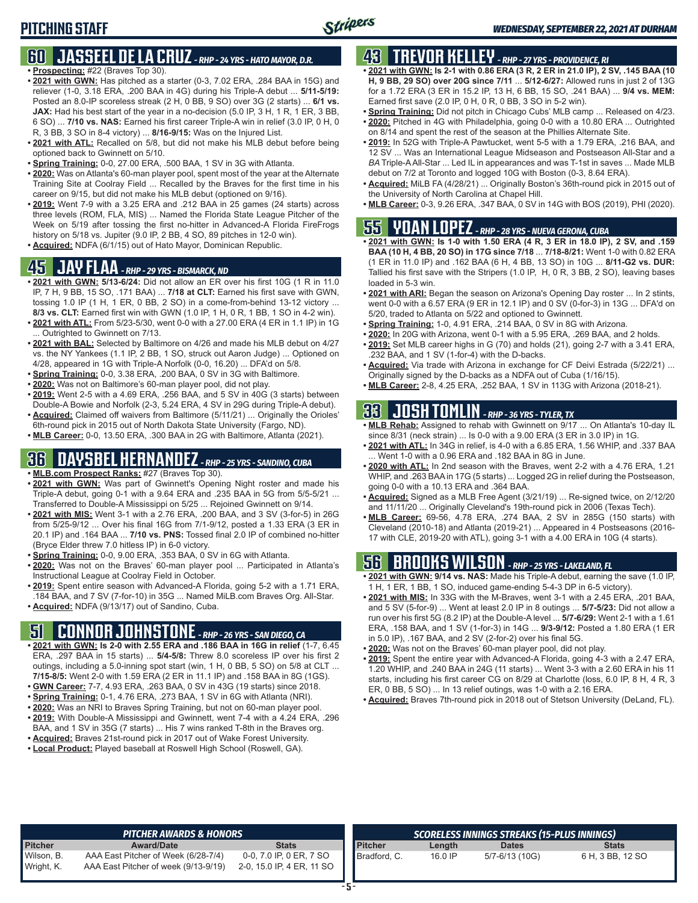### **60 JASSEEL DE LA CRUZ** *- RHP - 24 YRS - HATO MAYOR, D.R.* **• Prospecting:** #22 (Braves Top 30).

- **• 2021 with GWN:** Has pitched as a starter (0-3, 7.02 ERA, .284 BAA in 15G) and reliever (1-0, 3.18 ERA, .200 BAA in 4G) during his Triple-A debut ... **5/11-5/19:** Posted an 8.0-IP scoreless streak (2 H, 0 BB, 9 SO) over 3G (2 starts) ... **6/1 vs. JAX:** Had his best start of the year in a no-decision (5.0 IP, 3 H, 1 R, 1 ER, 3 BB, 6 SO) ... **7/10 vs. NAS:** Earned his first career Triple-A win in relief (3.0 IP, 0 H, 0 R, 3 BB, 3 SO in 8-4 victory) ... **8/16-9/15:** Was on the Injured List.
- **• 2021 with ATL:** Recalled on 5/8, but did not make his MLB debut before being optioned back to Gwinnett on 5/10.
- **• Spring Training:** 0-0, 27.00 ERA, .500 BAA, 1 SV in 3G with Atlanta.
- **• 2020:** Was on Atlanta's 60-man player pool, spent most of the year at the Alternate Training Site at Coolray Field ... Recalled by the Braves for the first time in his career on 9/15, but did not make his MLB debut (optioned on 9/16).
- **• 2019:** Went 7-9 with a 3.25 ERA and .212 BAA in 25 games (24 starts) across three levels (ROM, FLA, MIS) ... Named the Florida State League Pitcher of the Week on 5/19 after tossing the first no-hitter in Advanced-A Florida FireFrogs history on 5/18 vs. Jupiter (9.0 IP, 2 BB, 4 SO, 89 pitches in 12-0 win).
- **• Acquired:** NDFA (6/1/15) out of Hato Mayor, Dominican Republic.

### **45 JAY FLAA** *- RHP - 29 YRS - BISMARCK, ND*

- **• 2021 with GWN: 5/13-6/24:** Did not allow an ER over his first 10G (1 R in 11.0 IP, 7 H, 9 BB, 15 SO, .171 BAA) ... **7/18 at CLT:** Earned his first save with GWN, tossing 1.0 IP (1 H, 1 ER, 0 BB, 2 SO) in a come-from-behind 13-12 victory ... **8/3 vs. CLT:** Earned first win with GWN (1.0 IP, 1 H, 0 R, 1 BB, 1 SO in 4-2 win).
- **• 2021 with ATL:** From 5/23-5/30, went 0-0 with a 27.00 ERA (4 ER in 1.1 IP) in 1G ... Outrighted to Gwinnett on 7/13.
- **• 2021 with BAL:** Selected by Baltimore on 4/26 and made his MLB debut on 4/27 vs. the NY Yankees (1.1 IP, 2 BB, 1 SO, struck out Aaron Judge) ... Optioned on 4/28, appeared in 1G with Triple-A Norfolk (0-0, 16.20) ... DFA'd on 5/8.
- **• Spring Training:** 0-0, 3.38 ERA, .200 BAA, 0 SV in 3G with Baltimore.
- **• 2020:** Was not on Baltimore's 60-man player pool, did not play.
- **• 2019:** Went 2-5 with a 4.69 ERA, .256 BAA, and 5 SV in 40G (3 starts) between Double-A Bowie and Norfolk (2-3, 5.24 ERA, 4 SV in 29G during Triple-A debut).
- **• Acquired:** Claimed off waivers from Baltimore (5/11/21) ... Originally the Orioles' 6th-round pick in 2015 out of North Dakota State University (Fargo, ND).
- **• MLB Career:** 0-0, 13.50 ERA, .300 BAA in 2G with Baltimore, Atlanta (2021).

### **36 DAYSBEL HERNANDEZ** *- RHP - 25 YRS - SANDINO, CUBA*

- **• MLB.com Prospect Ranks:** #27 (Braves Top 30).
- **• 2021 with GWN:** Was part of Gwinnett's Opening Night roster and made his Triple-A debut, going 0-1 with a 9.64 ERA and .235 BAA in 5G from 5/5-5/21 ... Transferred to Double-A Mississippi on 5/25 ... Rejoined Gwinnett on 9/14.
- **• 2021 with MIS:** Went 3-1 with a 2.76 ERA, .200 BAA, and 3 SV (3-for-5) in 26G from 5/25-9/12 ... Over his final 16G from 7/1-9/12, posted a 1.33 ERA (3 ER in 20.1 IP) and .164 BAA ... **7/10 vs. PNS:** Tossed final 2.0 IP of combined no-hitter (Bryce Elder threw 7.0 hitless IP) in 6-0 victory.
- **• Spring Training:** 0-0, 9.00 ERA, .353 BAA, 0 SV in 6G with Atlanta.
- **• 2020:** Was not on the Braves' 60-man player pool ... Participated in Atlanta's Instructional League at Coolray Field in October.
- **• 2019:** Spent entire season with Advanced-A Florida, going 5-2 with a 1.71 ERA, .184 BAA, and 7 SV (7-for-10) in 35G ... Named MiLB.com Braves Org. All-Star.
- **• Acquired:** NDFA (9/13/17) out of Sandino, Cuba.

## **51 CONNOR JOHNSTONE** *- RHP - 26 YRS - SAN DIEGO, CA*

- **• 2021 with GWN: Is 2-0 with 2.55 ERA and .186 BAA in 16G in relief** (1-7, 6.45 ERA, .297 BAA in 15 starts) ... **5/4-5/8:** Threw 8.0 scoreless IP over his first 2 outings, including a 5.0-inning spot start (win, 1 H, 0 BB, 5 SO) on 5/8 at CLT ... **7/15-8/5:** Went 2-0 with 1.59 ERA (2 ER in 11.1 IP) and .158 BAA in 8G (1GS).
- **• GWN Career:** 7-7, 4.93 ERA, .263 BAA, 0 SV in 43G (19 starts) since 2018.
- **• Spring Training:** 0-1, 4.76 ERA, .273 BAA, 1 SV in 6G with Atlanta (NRI).
- **• 2020:** Was an NRI to Braves Spring Training, but not on 60-man player pool.
- **• 2019:** With Double-A Mississippi and Gwinnett, went 7-4 with a 4.24 ERA, .296 BAA, and 1 SV in 35G (7 starts) ... His 7 wins ranked T-8th in the Braves org.
- **• Acquired:** Braves 21st-round pick in 2017 out of Wake Forest University.
- **• Local Product:** Played baseball at Roswell High School (Roswell, GA).

## **43 TREVOR KELLEY** *- RHP - 27 YRS - PROVIDENCE, RI*

- **• 2021 with GWN: Is 2-1 with 0.86 ERA (3 R, 2 ER in 21.0 IP), 2 SV, .145 BAA (10 H, 9 BB, 29 SO) over 20G since 7/11** ... **5/12-6/27:** Allowed runs in just 2 of 13G for a 1.72 ERA (3 ER in 15.2 IP, 13 H, 6 BB, 15 SO, .241 BAA) ... **9/4 vs. MEM:** Earned first save (2.0 IP, 0 H, 0 R, 0 BB, 3 SO in 5-2 win).
- **• Spring Training:** Did not pitch in Chicago Cubs' MLB camp ... Released on 4/23.
- **• 2020:** Pitched in 4G with Philadelphia, going 0-0 with a 10.80 ERA ... Outrighted on 8/14 and spent the rest of the season at the Phillies Alternate Site.
- **• 2019:** In 52G with Triple-A Pawtucket, went 5-5 with a 1.79 ERA, .216 BAA, and 12 SV ... Was an International League Midseason and Postseason All-Star and a *BA* Triple-A All-Star ... Led IL in appearances and was T-1st in saves ... Made MLB debut on 7/2 at Toronto and logged 10G with Boston (0-3, 8.64 ERA).
- **• Acquired:** MiLB FA (4/28/21) ... Originally Boston's 36th-round pick in 2015 out of the University of North Carolina at Chapel Hill.
- **• MLB Career:** 0-3, 9.26 ERA, .347 BAA, 0 SV in 14G with BOS (2019), PHI (2020).

## **55 YOAN LOPEZ** *- RHP - 28 YRS - NUEVA GERONA, CUBA*

- **• 2021 with GWN: Is 1-0 with 1.50 ERA (4 R, 3 ER in 18.0 IP), 2 SV, and .159 BAA (10 H, 4 BB, 20 SO) in 17G since 7/18** ... **7/18-8/21:** Went 1-0 with 0.82 ERA (1 ER in 11.0 IP) and .162 BAA (6 H, 4 BB, 13 SO) in 10G ... **8/11-G2 vs. DUR:** Tallied his first save with the Stripers (1.0 IP, H, 0 R, 3 BB, 2 SO), leaving bases loaded in 5-3 win.
- **• 2021 with ARI:** Began the season on Arizona's Opening Day roster ... In 2 stints, went 0-0 with a 6.57 ERA (9 ER in 12.1 IP) and 0 SV (0-for-3) in 13G ... DFA'd on 5/20, traded to Atlanta on 5/22 and optioned to Gwinnett.
- **• Spring Training:** 1-0, 4.91 ERA, .214 BAA, 0 SV in 8G with Arizona.
- **• 2020:** In 20G with Arizona, went 0-1 with a 5.95 ERA, .269 BAA, and 2 holds. **• 2019:** Set MLB career highs in G (70) and holds (21), going 2-7 with a 3.41 ERA,
- .232 BAA, and 1 SV (1-for-4) with the D-backs.
- **• Acquired:** Via trade with Arizona in exchange for CF Deivi Estrada (5/22/21) ... Originally signed by the D-backs as a NDFA out of Cuba (1/16/15).
- **• MLB Career:** 2-8, 4.25 ERA, .252 BAA, 1 SV in 113G with Arizona (2018-21).

## **33 JOSH TOMLIN** *- RHP - 36 YRS - TYLER, TX*

- **• MLB Rehab:** Assigned to rehab with Gwinnett on 9/17 ... On Atlanta's 10-day IL since 8/31 (neck strain) ... Is 0-0 with a 9.00 ERA (3 ER in 3.0 IP) in 1G.
- **• 2021 with ATL:** In 34G in relief, is 4-0 with a 6.85 ERA, 1.56 WHIP, and .337 BAA .Went 1-0 with a 0.96 ERA and .182 BAA in 8G in June
- **• 2020 with ATL:** In 2nd season with the Braves, went 2-2 with a 4.76 ERA, 1.21 WHIP, and .263 BAA in 17G (5 starts) ... Logged 2G in relief during the Postseason, going 0-0 with a 10.13 ERA and .364 BAA.
- **• Acquired:** Signed as a MLB Free Agent (3/21/19) ... Re-signed twice, on 2/12/20 and 11/11/20 ... Originally Cleveland's 19th-round pick in 2006 (Texas Tech).
- **• MLB Career:** 69-56, 4.78 ERA, .274 BAA, 2 SV in 285G (150 starts) with Cleveland (2010-18) and Atlanta (2019-21) ... Appeared in 4 Postseasons (2016- 17 with CLE, 2019-20 with ATL), going 3-1 with a 4.00 ERA in 10G (4 starts).

## **56 BROOKS WILSON** *- RHP - 25 YRS - LAKELAND, FL*

- **• 2021 with GWN: 9/14 vs. NAS:** Made his Triple-A debut, earning the save (1.0 IP, 1 H, 1 ER, 1 BB, 1 SO, induced game-ending 5-4-3 DP in 6-5 victory).
- **• 2021 with MIS:** In 33G with the M-Braves, went 3-1 with a 2.45 ERA, .201 BAA, and 5 SV (5-for-9) ... Went at least 2.0 IP in 8 outings ... **5/7-5/23:** Did not allow a run over his first 5G (8.2 IP) at the Double-A level ... **5/7-6/29:** Went 2-1 with a 1.61 ERA, .158 BAA, and 1 SV (1-for-3) in 14G ... **9/3-9/12:** Posted a 1.80 ERA (1 ER in 5.0 IP), .167 BAA, and 2 SV (2-for-2) over his final 5G.
- **• 2020:** Was not on the Braves' 60-man player pool, did not play.
- **• 2019:** Spent the entire year with Advanced-A Florida, going 4-3 with a 2.47 ERA, 1.20 WHIP, and .240 BAA in 24G (11 starts) ... Went 3-3 with a 2.60 ERA in his 11 starts, including his first career CG on 8/29 at Charlotte (loss, 6.0 IP, 8 H, 4 R, 3 ER, 0 BB, 5 SO) ... In 13 relief outings, was 1-0 with a 2.16 ERA.
- **• Acquired:** Braves 7th-round pick in 2018 out of Stetson University (DeLand, FL).

|                          | <b>PITCHER AWARDS &amp; HONORS</b>                                          |                                                      |                |         | SCORELESS INNINGS STREAKS (15-PLUS INNINGS) |                  |
|--------------------------|-----------------------------------------------------------------------------|------------------------------------------------------|----------------|---------|---------------------------------------------|------------------|
| <b>Pitcher</b>           | <b>Award/Date</b>                                                           | <b>Stats</b>                                         | <b>Pitcher</b> | Length  | <b>Dates</b>                                | <b>Stats</b>     |
| Wilson, B.<br>Wright, K. | AAA East Pitcher of Week (6/28-7/4)<br>AAA East Pitcher of week (9/13-9/19) | 0-0, 7.0 IP, 0 ER, 7 SO<br>2-0, 15.0 IP, 4 ER, 11 SO | Bradford, C.   | 16.0 IP | 5/7-6/13 (10G)                              | 6 H. 3 BB. 12 SO |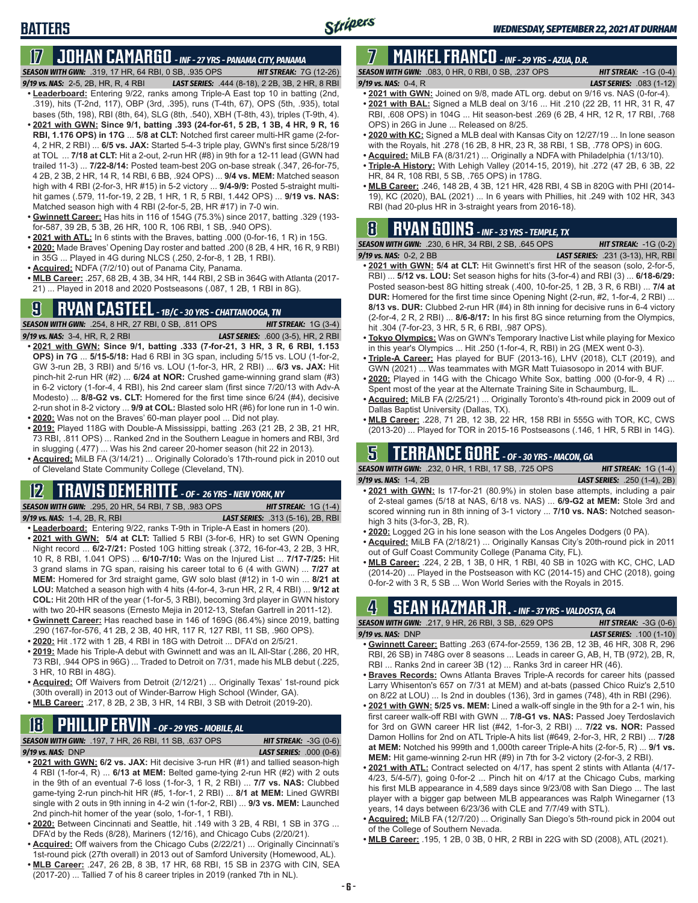## **BATTERS**

## **17 JOHAN CAMARGO** *- INF - 27 YRS - PANAMA CITY, PANAMA*

*SEASON WITH GWN:*.319, 17 HR, 64 RBI, 0 SB, .935 OPS *HIT STREAK:* 7G (12-26)

- *9/19 vs. NAS:* 2-5, 2B, HR, R, 4 RBI *LAST SERIES:* .444 (8-18), 2 2B, 3B, 2 HR, 8 RBI **• Leaderboard:** Entering 9/22, ranks among Triple-A East top 10 in batting (2nd, .319), hits (T-2nd, 117), OBP (3rd, .395), runs (T-4th, 67), OPS (5th, .935), total bases (5th, 198), RBI (8th, 64), SLG (8th, .540), XBH (T-8th, 43), triples (T-9th, 4). **• 2021 with GWN: Since 9/1, batting .393 (24-for-61, 5 2B, 1 3B, 4 HR, 9 R, 16 RBI, 1.176 OPS) in 17G** ... **5/8 at CLT:** Notched first career multi-HR game (2-for-4, 2 HR, 2 RBI) ... **6/5 vs. JAX:** Started 5-4-3 triple play, GWN's first since 5/28/19 at TOL ... **7/18 at CLT:** Hit a 2-out, 2-run HR (#8) in 9th for a 12-11 lead (GWN had trailed 11-3) ... **7/22-8/14:** Posted team-best 20G on-base streak (.347, 26-for-75, 4 2B, 2 3B, 2 HR, 14 R, 14 RBI, 6 BB, .924 OPS) ... **9/4 vs. MEM:** Matched season high with 4 RBI (2-for-3, HR #15) in 5-2 victory ... **9/4-9/9:** Posted 5-straight multihit games (.579, 11-for-19, 2 2B, 1 HR, 1 R, 5 RBI, 1.442 OPS) ... **9/19 vs. NAS:** Matched season high with 4 RBI (2-for-5, 2B, HR #17) in 7-0 win.
- **• Gwinnett Career:** Has hits in 116 of 154G (75.3%) since 2017, batting .329 (193 for-587, 39 2B, 5 3B, 26 HR, 100 R, 106 RBI, 1 SB, .940 OPS).
- **• 2021 with ATL:** In 6 stints with the Braves, batting .000 (0-for-16, 1 R) in 15G.
- **• 2020:** Made Braves' Opening Day roster and batted .200 (8 2B, 4 HR, 16 R, 9 RBI) in 35G ... Played in 4G during NLCS (.250, 2-for-8, 1 2B, 1 RBI).
- **• Acquired:** NDFA (7/2/10) out of Panama City, Panama.
- **• MLB Career:** .257, 68 2B, 4 3B, 34 HR, 144 RBI, 2 SB in 364G with Atlanta (2017- 21) ... Played in 2018 and 2020 Postseasons (.087, 1 2B, 1 RBI in 8G).

## **9 RYAN CASTEEL** *- 1B/C - 30 YRS - CHATTANOOGA, TN*

*SEASON WITH GWN:*.254, 8 HR, 27 RBI, 0 SB, .811 OPS *HIT STREAK:* 1G (3-4) *9/19 vs. NAS:*3-4, HR, R, 2 RBI *LAST SERIES:* .600 (3-5), HR, 2 RBI

- **• 2021 with GWN: Since 9/1, batting .333 (7-for-21, 3 HR, 3 R, 6 RBI, 1.153 OPS) in 7G** ... **5/15-5/18:** Had 6 RBI in 3G span, including 5/15 vs. LOU (1-for-2, GW 3-run 2B, 3 RBI) and 5/16 vs. LOU (1-for-3, HR, 2 RBI) ... **6/3 vs. JAX:** Hit pinch-hit 2-run HR (#2) ... **6/24 at NOR:** Crushed game-winning grand slam (#3) in 6-2 victory (1-for-4, 4 RBI), his 2nd career slam (first since 7/20/13 with Adv-A Modesto) ... **8/8-G2 vs. CLT:** Homered for the first time since 6/24 (#4), decisive 2-run shot in 8-2 victory ... **9/9 at COL:** Blasted solo HR (#6) for lone run in 1-0 win.
- **• 2020:** Was not on the Braves' 60-man player pool ... Did not play.
- **• 2019:** Played 118G with Double-A Mississippi, batting .263 (21 2B, 2 3B, 21 HR, 73 RBI, .811 OPS) ... Ranked 2nd in the Southern League in homers and RBI, 3rd in slugging (.477) ... Was his 2nd career 20-homer season (hit 22 in 2013).
- **• Acquired:** MiLB FA (3/14/21) ... Originally Colorado's 17th-round pick in 2010 out of Cleveland State Community College (Cleveland, TN).

### **12 TRAVIS DEMERITTE** *- OF - 26 YRS - NEW YORK, NY*

*SEASON WITH GWN:*.295, 20 HR, 54 RBI, 7 SB, .983 OPS *HIT STREAK:* 1G (1-4) *9/19 vs. NAS:*1-4, 2B, R, RBI *LAST SERIES:* .313 (5-16), 2B, RBI

- **• Leaderboard:** Entering 9/22, ranks T-9th in Triple-A East in homers (20). **• 2021 with GWN: 5/4 at CLT:** Tallied 5 RBI (3-for-6, HR) to set GWN Opening Night record ... **6/2-7/21:** Posted 10G hitting streak (.372, 16-for-43, 2 2B, 3 HR, 10 R, 8 RBI, 1.041 OPS) ... **6/10-7/10:** Was on the Injured List ... **7/17-7/25:** Hit 3 grand slams in 7G span, raising his career total to 6 (4 with GWN) ... **7/27 at MEM:** Homered for 3rd straight game, GW solo blast (#12) in 1-0 win ... **8/21 at LOU:** Matched a season high with 4 hits (4-for-4, 3-run HR, 2 R, 4 RBI) ... **9/12 at COL:** Hit 20th HR of the year (1-for-5, 3 RBI), becoming 3rd player in GWN history with two 20-HR seasons (Ernesto Mejia in 2012-13, Stefan Gartrell in 2011-12).
- **• Gwinnett Career:** Has reached base in 146 of 169G (86.4%) since 2019, batting .290 (167-for-576, 41 2B, 2 3B, 40 HR, 117 R, 127 RBI, 11 SB, .960 OPS).
- **• 2020:** Hit .172 with 1 2B, 4 RBI in 18G with Detroit ... DFA'd on 2/5/21.
- **• 2019:** Made his Triple-A debut with Gwinnett and was an IL All-Star (.286, 20 HR, 73 RBI, .944 OPS in 96G) ... Traded to Detroit on 7/31, made his MLB debut (.225, 3 HR, 10 RBI in 48G).
- **• Acquired:** Off Waivers from Detroit (2/12/21) ... Originally Texas' 1st-round pick (30th overall) in 2013 out of Winder-Barrow High School (Winder, GA).
- **• MLB Career:** .217, 8 2B, 2 3B, 3 HR, 14 RBI, 3 SB with Detroit (2019-20).

## **18 PHILLIP ERVIN** *- OF - 29 YRS - MOBILE, AL*

*SEASON WITH GWN:*.197, 7 HR, 26 RBI, 11 SB, .637 OPS *HIT STREAK:* -3G (0-6)

*9/19 vs. NAS:*DNP *LAST SERIES:* .000 (0-6)

- **• 2021 with GWN: 6/2 vs. JAX:** Hit decisive 3-run HR (#1) and tallied season-high 4 RBI (1-for-4, R) ... **6/13 at MEM:** Belted game-tying 2-run HR (#2) with 2 outs in the 9th of an eventual 7-6 loss (1-for-3, 1 R, 2 RBI) ... **7/7 vs. NAS:** Clubbed game-tying 2-run pinch-hit HR (#5, 1-for-1, 2 RBI) ... **8/1 at MEM:** Lined GWRBI single with 2 outs in 9th inning in 4-2 win (1-for-2, RBI) ... **9/3 vs. MEM:** Launched 2nd pinch-hit homer of the year (solo, 1-for-1, 1 RBI).
- **• 2020:** Between Cincinnati and Seattle, hit .149 with 3 2B, 4 RBI, 1 SB in 37G ... DFA'd by the Reds (8/28), Mariners (12/16), and Chicago Cubs (2/20/21).
- **• Acquired:** Off waivers from the Chicago Cubs (2/22/21) ... Originally Cincinnati's 1st-round pick (27th overall) in 2013 out of Samford University (Homewood, AL).
- **• MLB Career:** .247, 26 2B, 8 3B, 17 HR, 68 RBI, 15 SB in 237G with CIN, SEA (2017-20) ... Tallied 7 of his 8 career triples in 2019 (ranked 7th in NL).

## **7 MAIKEL FRANCO** *- INF - 29 YRS - AZUA, D.R.*

*SEASON WITH GWN:*.083, 0 HR, 0 RBI, 0 SB, .237 OPS *HIT STREAK:* -1G (0-4) *9/19 vs. NAS:*0-4, R *LAST SERIES:* .083 (1-12)

- **• 2021 with GWN:** Joined on 9/8, made ATL org. debut on 9/16 vs. NAS (0-for-4).
- **• 2021 with BAL:** Signed a MLB deal on 3/16 ... Hit .210 (22 2B, 11 HR, 31 R, 47 RBI, .608 OPS) in 104G ... Hit season-best .269 (6 2B, 4 HR, 12 R, 17 RBI, .768 OPS) in 26G in June ... Released on 8/25.
- **• 2020 with KC:** Signed a MLB deal with Kansas City on 12/27/19 ... In lone season with the Royals, hit .278 (16 2B, 8 HR, 23 R, 38 RBI, 1 SB, .778 OPS) in 60G.
- **• Acquired:** MiLB FA (8/31/21) ... Originally a NDFA with Philadelphia (1/13/10).
- **• Triple-A History:** With Lehigh Valley (2014-15, 2019), hit .272 (47 2B, 6 3B, 22 HR, 84 R, 108 RBI, 5 SB, .765 OPS) in 178G.
- **• MLB Career:** .246, 148 2B, 4 3B, 121 HR, 428 RBI, 4 SB in 820G with PHI (2014- 19), KC (2020), BAL (2021) ... In 6 years with Phillies, hit .249 with 102 HR, 343 RBI (had 20-plus HR in 3-straight years from 2016-18).

## **8 RYAN GOINS** *- INF - 33 YRS - TEMPLE, TX*

*SEASON WITH GWN:*.230, 6 HR, 34 RBI, 2 SB, .645 OPS *HIT STREAK:* -1G (0-2) *9/19 vs. NAS:*0-2, 2 BB *LAST SERIES:* .231 (3-13), HR, RBI

- **• 2021 with GWN: 5/4 at CLT:** Hit Gwinnett's first HR of the season (solo, 2-for-5, RBI) ... **5/12 vs. LOU:** Set season highs for hits (3-for-4) and RBI (3) ... **6/18-6/29:** Posted season-best 8G hitting streak (.400, 10-for-25, 1 2B, 3 R, 6 RBI) ... **7/4 at DUR:** Homered for the first time since Opening Night (2-run, #2, 1-for-4, 2 RBI) ... **8/13 vs. DUR:** Clubbed 2-run HR (#4) in 8th inning for decisive runs in 6-4 victory (2-for-4, 2 R, 2 RBI) ... **8/6-8/17:** In his first 8G since returning from the Olympics, hit .304 (7-for-23, 3 HR, 5 R, 6 RBI, .987 OPS).
- **• Tokyo Olympics:** Was on GWN's Temporary Inactive List while playing for Mexico in this year's Olympics ... Hit .250 (1-for-4, R, RBI) in 2G (MEX went 0-3).
- **• Triple-A Career:** Has played for BUF (2013-16), LHV (2018), CLT (2019), and GWN (2021) ... Was teammates with MGR Matt Tuiasosopo in 2014 with BUF.
- **• 2020:** Played in 14G with the Chicago White Sox, batting .000 (0-for-9, 4 R) ... Spent most of the year at the Alternate Training Site in Schaumburg, IL.
- **• Acquired:** MiLB FA (2/25/21) ... Originally Toronto's 4th-round pick in 2009 out of Dallas Baptist University (Dallas, TX).
- **• MLB Career:** .228, 71 2B, 12 3B, 22 HR, 158 RBI in 555G with TOR, KC, CWS (2013-20) ... Played for TOR in 2015-16 Postseasons (.146, 1 HR, 5 RBI in 14G).

## **5 TERRANCE GORE** *- OF - 30 YRS - MACON, GA*

*SEASON WITH GWN:*.232, 0 HR, 1 RBI, 17 SB, .725 OPS *HIT STREAK:* 1G (1-4) *9/19 vs. NAS:*1-4, 2B *LAST SERIES:* .250 (1-4), 2B)

- **• 2021 with GWN:** Is 17-for-21 (80.9%) in stolen base attempts, including a pair of 2-steal games (5/18 at NAS, 6/18 vs. NAS) ... **6/9-G2 at MEM:** Stole 3rd and scored winning run in 8th inning of 3-1 victory ... **7/10 vs. NAS:** Notched seasonhigh 3 hits (3-for-3, 2B, R).
- **• 2020:** Logged 2G in his lone season with the Los Angeles Dodgers (0 PA).
- **• Acquired:** MiLB FA (2/18/21) ... Originally Kansas City's 20th-round pick in 2011 out of Gulf Coast Community College (Panama City, FL).
- **• MLB Career:** .224, 2 2B, 1 3B, 0 HR, 1 RBI, 40 SB in 102G with KC, CHC, LAD (2014-20) ... Played in the Postseason with KC (2014-15) and CHC (2018), going 0-for-2 with 3 R, 5 SB ... Won World Series with the Royals in 2015.

## **4 SEAN KAZMAR JR.** *- INF - 37 YRS - VALDOSTA, GA*

| <b>SEASON WITH GWN: .217, 9 HR, 26 RBI, 3 SB, .629 OPS</b> |  |  | <b>HIT STREAK: <math>-3G(0-6)</math></b> |  |
|------------------------------------------------------------|--|--|------------------------------------------|--|
| $9/19$ vs. NAS: DNP                                        |  |  | <b>LAST SERIES:</b> .100 (1-10)          |  |
|                                                            |  |  |                                          |  |

- **• Gwinnett Career:** Batting .263 (674-for-2559, 136 2B, 12 3B, 46 HR, 308 R, 296 RBI, 26 SB) in 748G over 8 seasons ... Leads in career G, AB, H, TB (972), 2B, R, RBI ... Ranks 2nd in career 3B (12) ... Ranks 3rd in career HR (46).
- **• Braves Records:** Owns Atlanta Braves Triple-A records for career hits (passed Larry Whisenton's 657 on 7/31 at MEM) and at-bats (passed Chico Ruiz's 2,510 on 8/22 at LOU) ... Is 2nd in doubles (136), 3rd in games (748), 4th in RBI (296).
- **• 2021 with GWN: 5/25 vs. MEM:** Lined a walk-off single in the 9th for a 2-1 win, his first career walk-off RBI with GWN ... **7/8-G1 vs. NAS:** Passed Joey Terdoslavich for 3rd on GWN career HR list (#42, 1-for-3, 2 RBI) ... **7/22 vs. NOR:** Passed Damon Hollins for 2nd on ATL Triple-A hits list (#649, 2-for-3, HR, 2 RBI) ... **7/28 at MEM:** Notched his 999th and 1,000th career Triple-A hits (2-for-5, R) ... **9/1 vs. MEM:** Hit game-winning 2-run HR (#9) in 7th for 3-2 victory (2-for-3, 2 RBI).
- **• 2021 with ATL:** Contract selected on 4/17, has spent 2 stints with Atlanta (4/17- 4/23, 5/4-5/7), going 0-for-2 ... Pinch hit on 4/17 at the Chicago Cubs, marking his first MLB appearance in 4,589 days since 9/23/08 with San Diego ... The last player with a bigger gap between MLB appearances was Ralph Winegarner (13 years, 14 days between 6/23/36 with CLE and 7/7/49 with STL).
- **• Acquired:** MiLB FA (12/7/20) ... Originally San Diego's 5th-round pick in 2004 out of the College of Southern Nevada.
- **• MLB Career:** .195, 1 2B, 0 3B, 0 HR, 2 RBI in 22G with SD (2008), ATL (2021).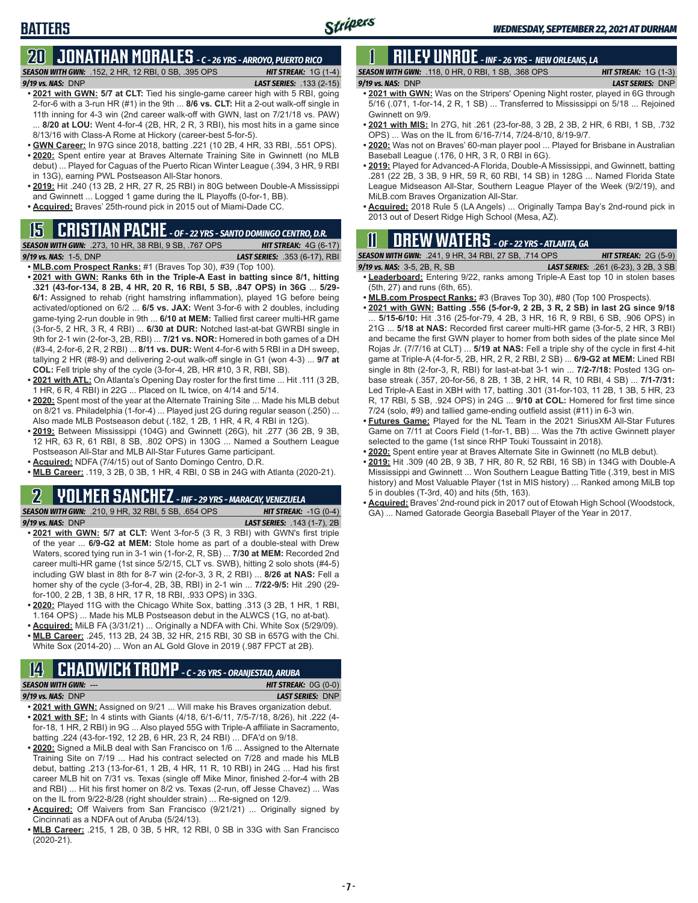### **20 JONATHAN MORALES** *- C - 26 YRS - ARROYO, PUERTO RICO SEASON WITH GWN:*.152, 2 HR, 12 RBI, 0 SB, .395 OPS *HIT STREAK:* 1G (1-4)

*9/19 vs. NAS:*DNP *LAST SERIES:* .133 (2-15)

- **• 2021 with GWN: 5/7 at CLT:** Tied his single-game career high with 5 RBI, going 2-for-6 with a 3-run HR (#1) in the 9th ... **8/6 vs. CLT:** Hit a 2-out walk-off single in 11th inning for 4-3 win (2nd career walk-off with GWN, last on 7/21/18 vs. PAW) 8/20 at LOU: Went 4-for-4 (2B, HR, 2 R, 3 RBI), his most hits in a game since 8/13/16 with Class-A Rome at Hickory (career-best 5-for-5).
- **• GWN Career:** In 97G since 2018, batting .221 (10 2B, 4 HR, 33 RBI, .551 OPS). **• 2020:** Spent entire year at Braves Alternate Training Site in Gwinnett (no MLB
- debut) ... Played for Caguas of the Puerto Rican Winter League (.394, 3 HR, 9 RBI in 13G), earning PWL Postseason All-Star honors.
- **• 2019:** Hit .240 (13 2B, 2 HR, 27 R, 25 RBI) in 80G between Double-A Mississippi and Gwinnett ... Logged 1 game during the IL Playoffs (0-for-1, BB).
- **• Acquired:** Braves' 25th-round pick in 2015 out of Miami-Dade CC.

## **15 CRISTIAN PACHE** *- OF - 22 YRS - SANTO DOMINGO CENTRO, D.R.*

*SEASON WITH GWN:*.273, 10 HR, 38 RBI, 9 SB, .767 OPS *HIT STREAK:* 4G (6-17)

*9/19 vs. NAS:* 1-5, DNP *LAST SERIES:* .353 (6-17), RBI **• MLB.com Prospect Ranks:** #1 (Braves Top 30), #39 (Top 100).

- **• 2021 with GWN: Ranks 6th in the Triple-A East in batting since 8/1, hitting .321 (43-for-134, 8 2B, 4 HR, 20 R, 16 RBI, 5 SB, .847 OPS) in 36G** ... **5/29- 6/1:** Assigned to rehab (right hamstring inflammation), played 1G before being activated/optioned on 6/2 ... **6/5 vs. JAX:** Went 3-for-6 with 2 doubles, including game-tying 2-run double in 9th ... **6/10 at MEM:** Tallied first career multi-HR game (3-for-5, 2 HR, 3 R, 4 RBI) ... **6/30 at DUR:** Notched last-at-bat GWRBI single in 9th for 2-1 win (2-for-3, 2B, RBI) ... **7/21 vs. NOR:** Homered in both games of a DH (#3-4, 2-for-6, 2 R, 2 RBI) ... **8/11 vs. DUR:** Went 4-for-6 with 5 RBI in a DH sweep, tallying 2 HR (#8-9) and delivering 2-out walk-off single in G1 (won 4-3) ... **9/7 at COL:** Fell triple shy of the cycle (3-for-4, 2B, HR #10, 3 R, RBI, SB).
- **• 2021 with ATL:** On Atlanta's Opening Day roster for the first time ... Hit .111 (3 2B, 1 HR, 6 R, 4 RBI) in 22G ... Placed on IL twice, on 4/14 and 5/14.
- **• 2020:** Spent most of the year at the Alternate Training Site ... Made his MLB debut on 8/21 vs. Philadelphia (1-for-4) ... Played just 2G during regular season (.250) ... Also made MLB Postseason debut (.182, 1 2B, 1 HR, 4 R, 4 RBI in 12G).
- **• 2019:** Between Mississippi (104G) and Gwinnett (26G), hit .277 (36 2B, 9 3B, 12 HR, 63 R, 61 RBI, 8 SB, .802 OPS) in 130G ... Named a Southern League Postseason All-Star and MLB All-Star Futures Game participant.
- **• Acquired:** NDFA (7/4/15) out of Santo Domingo Centro, D.R.
- **• MLB Career:** .119, 3 2B, 0 3B, 1 HR, 4 RBI, 0 SB in 24G with Atlanta (2020-21).

## **2 YOLMER SANCHEZ** *- INF - 29 YRS - MARACAY, VENEZUELA*

*SEASON WITH GWN:*.210, 9 HR, 32 RBI, 5 SB, .654 OPS *HIT STREAK:* -1G (0-4) *9/19 vs. NAS:*DNP *LAST SERIES:* .143 (1-7), 2B

- **• 2021 with GWN: 5/7 at CLT:** Went 3-for-5 (3 R, 3 RBI) with GWN's first triple of the year ... **6/9-G2 at MEM:** Stole home as part of a double-steal with Drew Waters, scored tying run in 3-1 win (1-for-2, R, SB) ... **7/30 at MEM:** Recorded 2nd career multi-HR game (1st since 5/2/15, CLT vs. SWB), hitting 2 solo shots (#4-5) including GW blast in 8th for 8-7 win (2-for-3, 3 R, 2 RBI) ... **8/26 at NAS:** Fell a homer shy of the cycle (3-for-4, 2B, 3B, RBI) in 2-1 win ... **7/22-9/5:** Hit .290 (29 for-100, 2 2B, 1 3B, 8 HR, 17 R, 18 RBI, .933 OPS) in 33G.
- **• 2020:** Played 11G with the Chicago White Sox, batting .313 (3 2B, 1 HR, 1 RBI, 1.164 OPS) ... Made his MLB Postseason debut in the ALWCS (1G, no at-bat).
- **• Acquired:** MiLB FA (3/31/21) ... Originally a NDFA with Chi. White Sox (5/29/09). **• MLB Career:** .245, 113 2B, 24 3B, 32 HR, 215 RBI, 30 SB in 657G with the Chi. White Sox (2014-20) ... Won an AL Gold Glove in 2019 (.987 FPCT at 2B).

### **14 CHADWICK TROMP** *- C - 26 YRS - ORANJESTAD, ARUBA SEASON WITH GWN:*--- *HIT STREAK:* 0G (0-0)

*9/19 vs. NAS:*DNP *LAST SERIES:* DNP

- **• 2021 with GWN:** Assigned on 9/21 ... Will make his Braves organization debut. **• 2021 with SF:** In 4 stints with Giants (4/18, 6/1-6/11, 7/5-7/18, 8/26), hit .222 (4 for-18, 1 HR, 2 RBI) in 9G ... Also played 55G with Triple-A affiliate in Sacramento, batting .224 (43-for-192, 12 2B, 6 HR, 23 R, 24 RBI) ... DFA'd on 9/18.
- **• 2020:** Signed a MiLB deal with San Francisco on 1/6 ... Assigned to the Alternate Training Site on 7/19 ... Had his contract selected on 7/28 and made his MLB debut, batting .213 (13-for-61, 1 2B, 4 HR, 11 R, 10 RBI) in 24G ... Had his first career MLB hit on 7/31 vs. Texas (single off Mike Minor, finished 2-for-4 with 2B and RBI) ... Hit his first homer on 8/2 vs. Texas (2-run, off Jesse Chavez) ... Was on the IL from 9/22-8/28 (right shoulder strain) ... Re-signed on 12/9.
- **• Acquired:** Off Waivers from San Francisco (9/21/21) ... Originally signed by Cincinnati as a NDFA out of Aruba (5/24/13).
- **• MLB Career:** .215, 1 2B, 0 3B, 5 HR, 12 RBI, 0 SB in 33G with San Francisco (2020-21).

## **1 RILEY UNROE** *- INF - 26 YRS - NEW ORLEANS, LA*

*SEASON WITH GWN:*.118, 0 HR, 0 RBI, 1 SB, .368 OPS *HIT STREAK:* 1G (1-3)

- *9/19 vs. NAS:*DNP *LAST SERIES:* DNP
	- **• 2021 with GWN:** Was on the Stripers' Opening Night roster, played in 6G through 5/16 (.071, 1-for-14, 2 R, 1 SB) ... Transferred to Mississippi on 5/18 ... Rejoined Gwinnett on 9/9.
	- **• 2021 with MIS:** In 27G, hit .261 (23-for-88, 3 2B, 2 3B, 2 HR, 6 RBI, 1 SB, .732 OPS) ... Was on the IL from 6/16-7/14, 7/24-8/10, 8/19-9/7.
	- **• 2020:** Was not on Braves' 60-man player pool ... Played for Brisbane in Australian Baseball League (.176, 0 HR, 3 R, 0 RBI in 6G).
	- **• 2019:** Played for Advanced-A Florida, Double-A Mississippi, and Gwinnett, batting .281 (22 2B, 3 3B, 9 HR, 59 R, 60 RBI, 14 SB) in 128G ... Named Florida State League Midseason All-Star, Southern League Player of the Week (9/2/19), and MiLB.com Braves Organization All-Star.
- **• Acquired:** 2018 Rule 5 (LA Angels) ... Originally Tampa Bay's 2nd-round pick in 2013 out of Desert Ridge High School (Mesa, AZ).

## **11 Drew WATERS** *- OF - 22 YRS - ATLANTA, GA*

*SEASON WITH GWN:*.241, 9 HR, 34 RBI, 27 SB, .714 OPS *HIT STREAK:* 2G (5-9)

- *9/19 vs. NAS:*3-5, 2B, R, SB *LAST SERIES:* .261 (6-23), 3 2B, 3 SB **• Leaderboard:** Entering 9/22, ranks among Triple-A East top 10 in stolen bases (5th, 27) and runs (6th, 65).
- **• MLB.com Prospect Ranks:** #3 (Braves Top 30), #80 (Top 100 Prospects).
- **• 2021 with GWN: Batting .556 (5-for-9, 2 2B, 3 R, 2 SB) in last 2G since 9/18** ... **5/15-6/10:** Hit .316 (25-for-79, 4 2B, 3 HR, 16 R, 9 RBI, 6 SB, .906 OPS) in 21G ... **5/18 at NAS:** Recorded first career multi-HR game (3-for-5, 2 HR, 3 RBI) and became the first GWN player to homer from both sides of the plate since Mel Rojas Jr. (7/7/16 at CLT) ... **5/19 at NAS:** Fell a triple shy of the cycle in first 4-hit game at Triple-A (4-for-5, 2B, HR, 2 R, 2 RBI, 2 SB) ... **6/9-G2 at MEM:** Lined RBI single in 8th (2-for-3, R, RBI) for last-at-bat 3-1 win ... **7/2-7/18:** Posted 13G onbase streak (.357, 20-for-56, 8 2B, 1 3B, 2 HR, 14 R, 10 RBI, 4 SB) ... **7/1-7/31:** Led Triple-A East in XBH with 17, batting .301 (31-for-103, 11 2B, 1 3B, 5 HR, 23 R, 17 RBI, 5 SB, .924 OPS) in 24G ... **9/10 at COL:** Homered for first time since 7/24 (solo, #9) and tallied game-ending outfield assist (#11) in 6-3 win.
- **• Futures Game:** Played for the NL Team in the 2021 SiriusXM All-Star Futures Game on 7/11 at Coors Field (1-for-1, BB) ... Was the 7th active Gwinnett player selected to the game (1st since RHP Touki Toussaint in 2018).
- **• 2020:** Spent entire year at Braves Alternate Site in Gwinnett (no MLB debut).
- **• 2019:** Hit .309 (40 2B, 9 3B, 7 HR, 80 R, 52 RBI, 16 SB) in 134G with Double-A Mississippi and Gwinnett ... Won Southern League Batting Title (.319, best in MIS history) and Most Valuable Player (1st in MIS history) ... Ranked among MiLB top 5 in doubles (T-3rd, 40) and hits (5th, 163).
- **• Acquired:** Braves' 2nd-round pick in 2017 out of Etowah High School (Woodstock, GA) ... Named Gatorade Georgia Baseball Player of the Year in 2017.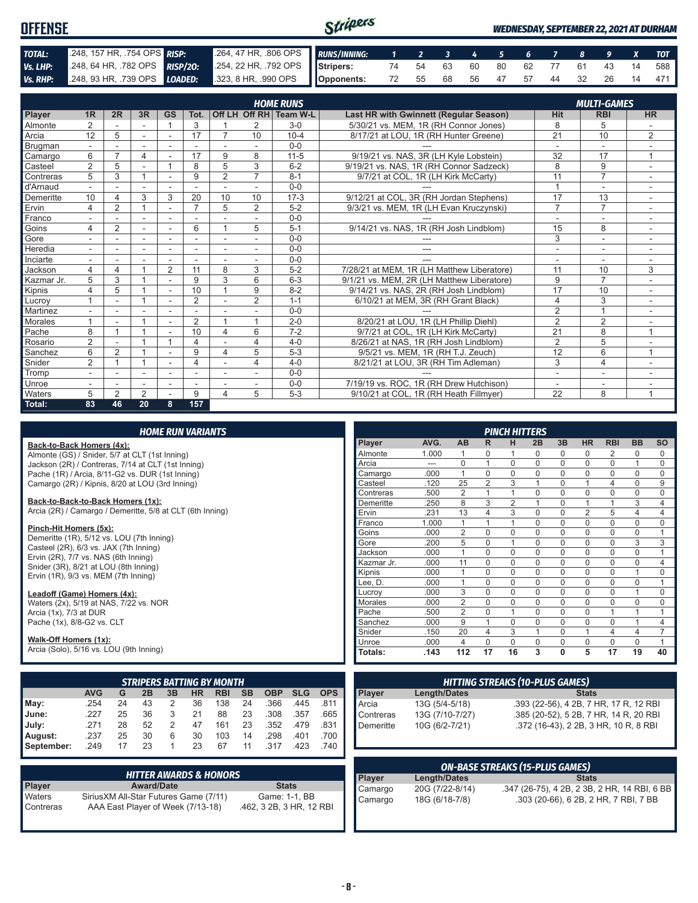| <b>OFFENSE</b> |                                                                                              |                                                          | Stripers |                               |  |  |  |  | <b>WEDNESDAY, SEPTEMBER 22, 2021 AT DURHAM</b> |
|----------------|----------------------------------------------------------------------------------------------|----------------------------------------------------------|----------|-------------------------------|--|--|--|--|------------------------------------------------|
| TOTAL:         | 248, 157 HR, 754 OPS RISP:                                                                   | 264, 47 HR, 306 OPS RUNS/INNING: 1 2 3 4 5 6 7 8 9 X TOT |          |                               |  |  |  |  |                                                |
| Vs. LHP:       | 248, 64 HR, 782 OPS RISP/20: 254, 22 HR, 792 OPS Stripers: 74 54 63 60 80 62 77 61 43 14 588 |                                                          |          |                               |  |  |  |  |                                                |
|                | Vs. RHP: 248, 93 HR, 739 OPS LOADED: 323, 8 HR, 990 OPS Opponents:                           |                                                          |          | 72 55 68 56 47 57 44 32 26 14 |  |  |  |  | 471                                            |

|            |                          |                |                |                |                |                |                          | <b>HOME RUNS</b>       |                                               |                          | <b>MULTI-GAMES</b>       |                |
|------------|--------------------------|----------------|----------------|----------------|----------------|----------------|--------------------------|------------------------|-----------------------------------------------|--------------------------|--------------------------|----------------|
| Player     | 1 <sub>R</sub>           | 2R             | 3R             | GS             | Tot.           |                |                          | Off LH Off RH Team W-L | <b>Last HR with Gwinnett (Regular Season)</b> | <b>Hit</b>               | <b>RBI</b>               | <b>HR</b>      |
| Almonte    | 2                        |                |                |                | 3              |                | 2                        | $3-0$                  | 5/30/21 vs. MEM. 1R (RH Connor Jones)         | 8                        | 5                        |                |
| Arcia      | 12                       | 5              | ÷              | ٠              | 17             | $\overline{7}$ | 10                       | $10 - 4$               | 8/17/21 at LOU, 1R (RH Hunter Greene)         | $\overline{21}$          | 10                       | $\overline{2}$ |
| Brugman    |                          |                |                |                |                |                |                          | $0 - 0$                |                                               |                          |                          |                |
| Camargo    | 6                        | $\overline{ }$ | 4              | $\blacksquare$ | 17             | 9              | 8                        | $11 - 5$               | 9/19/21 vs. NAS, 3R (LH Kyle Lobstein)        | 32                       | 17                       | $\overline{ }$ |
| Casteel    | $\overline{2}$           | 5              |                |                | 8              | 5              | 3                        | $6 - 2$                | 9/19/21 vs. NAS. 1R (RH Connor Sadzeck)       | 8                        | 9                        |                |
| Contreras  | 5                        | 3              |                | Ĭ.             | 9              | $\overline{2}$ | 7                        | $8 - 1$                | 9/7/21 at COL, 1R (LH Kirk McCarty)           | 11                       | $\overline{7}$           | ٠              |
| d'Arnaud   |                          |                |                |                | ٠              | ٠              | $\overline{\phantom{a}}$ | $0 - 0$                |                                               | $\overline{A}$           | $\sim$                   |                |
| Demeritte  | 10                       | 4              | 3              | 3              | 20             | 10             | 10                       | $17-3$                 | 9/12/21 at COL, 3R (RH Jordan Stephens)       | 17                       | 13                       |                |
| Ervin      | 4                        | $\overline{2}$ | $\overline{ }$ | ٠              | $\overline{7}$ | 5              | 2                        | $5 - 2$                | 9/3/21 vs. MEM, 1R (LH Evan Kruczynski)       | $\overline{7}$           | $\overline{7}$           |                |
| Franco     |                          |                |                |                |                |                |                          | $0 - 0$                |                                               |                          |                          |                |
| Goins      | 4                        | $\overline{2}$ | ÷              | ٠              | 6              |                | 5                        | $5 - 1$                | 9/14/21 vs. NAS, 1R (RH Josh Lindblom)        | 15                       | 8                        | ٠.             |
| Gore       |                          |                | ٠              |                |                | ٠              |                          | $0-0$                  |                                               | 3                        | ٠                        |                |
| Heredia    | $\overline{\phantom{a}}$ | ۰              | ۰              | $\blacksquare$ | ٠              | ٠              | $\overline{\phantom{a}}$ | $0 - 0$                | ---                                           | $\overline{\phantom{a}}$ | $\overline{\phantom{a}}$ | ٠              |
| Inciarte   |                          |                |                |                |                |                |                          | $0 - 0$                |                                               |                          |                          |                |
| Jackson    | 4                        | 4              |                | 2              | 11             | 8              | 3                        | $5 - 2$                | 7/28/21 at MEM. 1R (LH Matthew Liberatore)    | 11                       | 10                       | 3              |
| Kazmar Jr. | 5                        | 3              |                | ٠              | 9              | 3              | 6                        | $6 - 3$                | 9/1/21 vs. MEM, 2R (LH Matthew Liberatore)    | 9                        | $\overline{7}$           |                |
| Kipnis     | 4                        | 5              |                |                | 10             |                | 9                        | $8 - 2$                | 9/14/21 vs. NAS, 2R (RH Josh Lindblom)        | 17                       | 10                       |                |
| Lucrov     |                          |                |                | $\blacksquare$ | $\overline{2}$ | $\overline{a}$ | 2                        | $1 - 1$                | 6/10/21 at MEM, 3R (RH Grant Black)           | $\overline{4}$           | 3                        |                |
| Martinez   |                          |                |                |                |                |                |                          | $0 - 0$                |                                               | 2                        | $\overline{A}$           |                |
| Morales    |                          |                |                |                | $\overline{2}$ |                |                          | $2 - 0$                | 8/20/21 at LOU, 1R (LH Phillip Diehl)         | $\overline{2}$           | $\overline{2}$           |                |
| Pache      | 8                        |                |                |                | 10             | 4              | 6                        | $7 - 2$                | 9/7/21 at COL, 1R (LH Kirk McCarty)           | $\overline{21}$          | 8                        | 1              |
| Rosario    | $\overline{2}$           |                |                |                | 4              |                | 4                        | $4 - 0$                | 8/26/21 at NAS, 1R (RH Josh Lindblom)         | $\overline{2}$           | 5                        |                |
| Sanchez    | 6                        | $\overline{2}$ |                | $\blacksquare$ | 9              | 4              | 5                        | $5 - 3$                | 9/5/21 vs. MEM, 1R (RH T.J. Zeuch)            | 12                       | 6                        | $\overline{1}$ |
| Snider     | $\overline{2}$           |                |                |                | 4              | $\overline{a}$ | 4                        | $4 - 0$                | 8/21/21 at LOU, 3R (RH Tim Adleman)           | 3                        | $\overline{4}$           |                |
| Tromp      | $\overline{\phantom{a}}$ |                | ۰              | ۰              | ٠              | ٠              |                          | $0 - 0$                |                                               | ٠                        | $\overline{\phantom{a}}$ |                |
| Unroe      | $\overline{\phantom{a}}$ |                | ٠              | ٠              |                |                |                          | $0-0$                  | 7/19/19 vs. ROC, 1R (RH Drew Hutchison)       | ٠                        | ۰                        |                |
| Waters     | 5                        | 2              | 2              |                | 9              | 4              | 5                        | $5 - 3$                | 9/10/21 at COL, 1R (RH Heath Fillmyer)        | 22                       | 8                        | 1              |
| Total:     | 83                       | 46             | 20             | 8              | 157            |                |                          |                        |                                               |                          |                          |                |

|  | <b>HOME RUN VARIANTS</b> |  |
|--|--------------------------|--|
|  |                          |  |

**Back-to-Back Homers (4x):** Almonte (GS) / Snider, 5/7 at CLT (1st Inning) Jackson (2R) / Contreras, 7/14 at CLT (1st Inning) Pache (1R) / Arcia, 8/11-G2 vs. DUR (1st Inning) Camargo (2R) / Kipnis, 8/20 at LOU (3rd Inning)

#### **Back-to-Back-to-Back Homers (1x):**

Arcia (2R) / Camargo / Demeritte, 5/8 at CLT (6th Inning)

#### **Pinch-Hit Homers (5x):**

Demeritte (1R), 5/12 vs. LOU (7th Inning) Casteel (2R), 6/3 vs. JAX (7th Inning) Ervin (2R), 7/7 vs. NAS (6th Inning) Snider (3R), 8/21 at LOU (8th Inning) Ervin (1R), 9/3 vs. MEM (7th Inning)

#### **Leadoff (Game) Homers (4x):**

Waters (2x), 5/19 at NAS, 7/22 vs. NOR Arcia (1x), 7/3 at DUR Pache (1x), 8/8-G2 vs. CLT

#### **Walk-Off Homers (1x):**

Arcia (Solo), 5/16 vs. LOU (9th Inning)

|            |            |    |    |    |    | <b>STRIPERS BATTING BY MONTH</b> |           |            |            |            |
|------------|------------|----|----|----|----|----------------------------------|-----------|------------|------------|------------|
|            | <b>AVG</b> | G  | 2B | 3B | HR | <b>RBI</b>                       | <b>SB</b> | <b>OBP</b> | <b>SLG</b> | <b>OPS</b> |
| $M$ ay:    | .254       | 24 | 43 | 2  | 36 | 138                              | 24        | .366       | .445       | .811       |
| June:      | .227       | 25 | 36 | 3  | 21 | 88                               | 23        | .308       | .357       | .665       |
| July:      | .271       | 28 | 52 | 2  | 47 | 161                              | 23        | .352       | .479       | .831       |
| August:    | .237       | 25 | 30 | 6  | 30 | 103                              | 14        | .298       | .401       | .700       |
| September: | .249       | 17 | 23 |    | 23 | 67                               | 11        | .317       | .423       | 740        |

|                     | <b>HITTER AWARDS &amp; HONORS</b>                                           |                                           |
|---------------------|-----------------------------------------------------------------------------|-------------------------------------------|
| <b>Player</b>       | <b>Award/Date</b>                                                           | <b>Stats</b>                              |
| Waters<br>Contreras | Sirius XM All-Star Futures Game (7/11)<br>AAA East Player of Week (7/13-18) | Game: 1-1, BB<br>.462, 3 2B, 3 HR, 12 RBI |

|            |       |                |                | <b>PINCH HITTERS</b> |             |              |                |                |           |           |
|------------|-------|----------------|----------------|----------------------|-------------|--------------|----------------|----------------|-----------|-----------|
| Player     | AVG.  | <b>AB</b>      | R              | н                    | 2B          | 3B           | <b>HR</b>      | <b>RBI</b>     | <b>BB</b> | <b>SO</b> |
| Almonte    | 1.000 | 1              | 0              | 1                    | 0           | 0            | 0              | 2              | 0         | 0         |
| Arcia      |       | $\Omega$       | 1              | $\Omega$             | $\Omega$    | $\Omega$     | $\Omega$       | $\Omega$       | 1         | 0         |
| Camargo    | .000  | 1              | $\Omega$       | $\Omega$             | $\Omega$    | $\Omega$     | $\Omega$       | $\Omega$       | $\Omega$  | 0         |
| Casteel    | .120  | 25             | $\overline{2}$ | 3                    | 1           | $\Omega$     | 1              | $\overline{4}$ | $\Omega$  | 9         |
| Contreras  | .500  | $\overline{2}$ | 1              | 1                    | 0           | $\Omega$     | $\mathbf 0$    | $\mathbf 0$    | 0         | 0         |
| Demeritte  | .250  | 8              | 3              | $\overline{2}$       | 1           | $\Omega$     | 1              | 1              | 3         | 4         |
| Ervin      | .231  | 13             | 4              | 3                    | $\Omega$    | $\Omega$     | $\overline{2}$ | 5              | 4         | 4         |
| Franco     | 1.000 | 1              | 1              | 1                    | 0           | 0            | 0              | $\Omega$       | 0         | 0         |
| Goins      | .000  | $\overline{2}$ | 0              | $\mathbf 0$          | $\mathbf 0$ | $\mathbf 0$  | $\mathbf 0$    | $\mathbf 0$    | 0         | 1         |
| Gore       | .200  | 5              | $\Omega$       | 1                    | $\Omega$    | $\Omega$     | $\Omega$       | $\Omega$       | 3         | 3         |
| Jackson    | .000  | 1              | $\Omega$       | $\Omega$             | $\Omega$    | $\Omega$     | $\Omega$       | $\Omega$       | $\Omega$  | 1         |
| Kazmar Jr. | .000  | 11             | $\Omega$       | $\Omega$             | $\Omega$    | $\Omega$     | $\Omega$       | $\Omega$       | $\Omega$  | 4         |
| Kipnis     | .000  | 1              | $\Omega$       | $\Omega$             | 0           | $\Omega$     | $\Omega$       | $\Omega$       | 1         | $\Omega$  |
| Lee, D.    | .000  | 1              | $\Omega$       | $\Omega$             | $\Omega$    | $\Omega$     | $\Omega$       | $\Omega$       | $\Omega$  | 1         |
| Lucroy     | .000  | 3              | $\Omega$       | $\Omega$             | 0           | $\Omega$     | $\Omega$       | $\Omega$       | 1         | $\Omega$  |
| Morales    | .000  | $\overline{2}$ | 0              | 0                    | $\Omega$    | $\Omega$     | 0              | $\Omega$       | 0         | 0         |
| Pache      | .500  | $\overline{2}$ | 0              | 1                    | $\mathbf 0$ | $\mathbf 0$  | $\mathbf 0$    | 1              | 1         | 1         |
| Sanchez    | .000  | 9              | 1              | $\Omega$             | $\mathbf 0$ | $\Omega$     | $\mathbf 0$    | $\Omega$       | 1         | 4         |
| Snider     | .150  | 20             | 4              | 3                    | 1           | $\Omega$     | 1              | $\overline{4}$ | 4         | 7         |
| Unroe      | .000  | 4              | $\Omega$       | $\Omega$             | $\Omega$    | $\Omega$     | $\Omega$       | $\Omega$       | $\Omega$  | 1         |
| Totals:    | .143  | 112            | 17             | 16                   | 3           | $\mathbf{0}$ | 5              | 17             | 19        | 40        |

| <b>HITTING STREAKS (10-PLUS GAMES)</b> |                     |                                        |  |  |  |  |  |  |
|----------------------------------------|---------------------|----------------------------------------|--|--|--|--|--|--|
| Player                                 | <b>Length/Dates</b> | <b>Stats</b>                           |  |  |  |  |  |  |
| Arcia                                  | 13G (5/4-5/18)      | .393 (22-56), 4 2B, 7 HR, 17 R, 12 RBI |  |  |  |  |  |  |
| Contreras                              | 13G (7/10-7/27)     | .385 (20-52), 5 2B, 7 HR, 14 R, 20 RBI |  |  |  |  |  |  |
| Demeritte                              | 10G (6/2-7/21)      | .372 (16-43), 2 2B, 3 HR, 10 R, 8 RBI  |  |  |  |  |  |  |

| <b>ON-BASE STREAKS (15-PLUS GAMES)</b> |                 |                                              |  |  |  |  |  |
|----------------------------------------|-----------------|----------------------------------------------|--|--|--|--|--|
| Player<br>Camargo                      | Length/Dates    | <b>Stats</b>                                 |  |  |  |  |  |
|                                        | 20G (7/22-8/14) | .347 (26-75), 4 2B, 2 3B, 2 HR, 14 RBI, 6 BB |  |  |  |  |  |
| Camargo                                | 18G (6/18-7/8)  | .303 (20-66), 6 2B, 2 HR, 7 RBI, 7 BB        |  |  |  |  |  |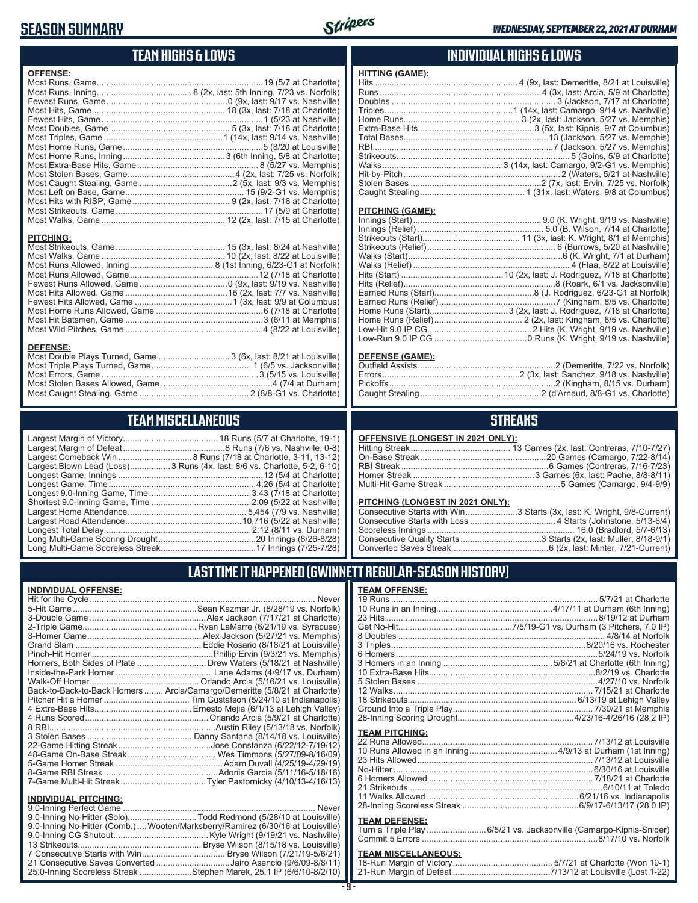## **SEASON SUMMARY**



## **TEAM HIGHS & LOWS**

| <b>OFFENSE:</b>                                                                     |  |
|-------------------------------------------------------------------------------------|--|
|                                                                                     |  |
| <b>PITCHING:</b>                                                                    |  |
| <b>DEFENSE:</b><br>Most Double Plays Turned, Game  3 (6x, last: 8/21 at Louisville) |  |

### Most Caught Stealing, Game .............................................. 2 (8/8-G1 vs. Charlotte) **TEAM MISCELLANEOUS**

Most Errors, Game ..................................................................3 (5/15 vs. Louisville) Most Stolen Bases Allowed, Game ...............................................4 (7/4 at Durham)

| Largest Blown Lead (Loss)3 Runs (4x, last: 8/6 vs. Charlotte, 5-2, 6-10) |
|--------------------------------------------------------------------------|
|                                                                          |
|                                                                          |
|                                                                          |
|                                                                          |
|                                                                          |
|                                                                          |
|                                                                          |
|                                                                          |
|                                                                          |

### **INDIVIDUAL HIGHS & LOWS**

| <b>HITTING (GAME):</b> |  |
|------------------------|--|
|                        |  |
|                        |  |
|                        |  |
|                        |  |
|                        |  |
|                        |  |
|                        |  |
|                        |  |
|                        |  |
|                        |  |
|                        |  |
|                        |  |
|                        |  |
|                        |  |

#### **PITCHING (GAME):**

#### **DEFENSE (GAME):**

### **STREAKS**

#### **OFFENSIVE (LONGEST IN 2021 ONLY):**

#### **PITCHING (LONGEST IN 2021 ONLY):**

| <u>THEIMS (ESNSES) IN ESTIMATING</u> |                                                                        |
|--------------------------------------|------------------------------------------------------------------------|
|                                      | Consecutive Starts with Win3 Starts (3x, last: K. Wright, 9/8-Current) |
|                                      |                                                                        |
|                                      |                                                                        |
|                                      |                                                                        |
|                                      |                                                                        |
|                                      |                                                                        |

### **LAST TIME IT HAPPENED (GWINNETT REGULAR-SEASON HISTORY)**

#### **INDIVIDUAL OFFENSE:**

|                             | Homers, Both Sides of Plate  Drew Waters (5/18/21 at Nashville)            |
|-----------------------------|----------------------------------------------------------------------------|
|                             |                                                                            |
|                             |                                                                            |
|                             | Back-to-Back-to-Back Homers  Arcia/Camargo/Demeritte (5/8/21 at Charlotte) |
|                             |                                                                            |
|                             |                                                                            |
|                             |                                                                            |
|                             |                                                                            |
|                             |                                                                            |
|                             |                                                                            |
|                             |                                                                            |
|                             |                                                                            |
|                             |                                                                            |
|                             |                                                                            |
| <b>INDIVIDUAL PITCHING:</b> |                                                                            |
| 0.0 Inning Porfoot Camo     | Novor                                                                      |

| 9.0-Inning No-Hitter (Solo)Todd Redmond (5/28/10 at Louisville)                |
|--------------------------------------------------------------------------------|
| 9.0-Inning No-Hitter (Comb.) Wooten/Marksberry/Ramirez (6/30/16 at Louisville) |
|                                                                                |
|                                                                                |
|                                                                                |
| 21 Consecutive Saves Converted Jairo Asencio (9/6/09-8/8/11)                   |
| 25.0-Inning Scoreless Streak Stephen Marek, 25.1 IP (6/6/10-8/2/10)            |

### **TEAM OFFENSE:**

| <u>I EAM UFFENSE.</u>        |                                                                     |
|------------------------------|---------------------------------------------------------------------|
|                              |                                                                     |
|                              |                                                                     |
|                              |                                                                     |
|                              |                                                                     |
|                              |                                                                     |
|                              |                                                                     |
|                              |                                                                     |
|                              |                                                                     |
|                              |                                                                     |
|                              |                                                                     |
|                              |                                                                     |
|                              |                                                                     |
|                              |                                                                     |
|                              |                                                                     |
| <b>TEAM PITCHING:</b>        |                                                                     |
|                              |                                                                     |
|                              |                                                                     |
|                              |                                                                     |
|                              |                                                                     |
|                              |                                                                     |
|                              |                                                                     |
|                              |                                                                     |
|                              |                                                                     |
|                              |                                                                     |
| <b>TEAM DEFENSE:</b>         |                                                                     |
|                              | Turn a Triple Play  6/5/21 vs. Jacksonville (Camargo-Kipnis-Snider) |
|                              |                                                                     |
| <b>TEAM MISCELL ANEOLIS:</b> |                                                                     |

#### **TEAM MISCELLANEOUS:**

| 21-Run Margin of Defeat…………………………………7/13/12 at Louisville (Lost 1-22) |
|-----------------------------------------------------------------------|